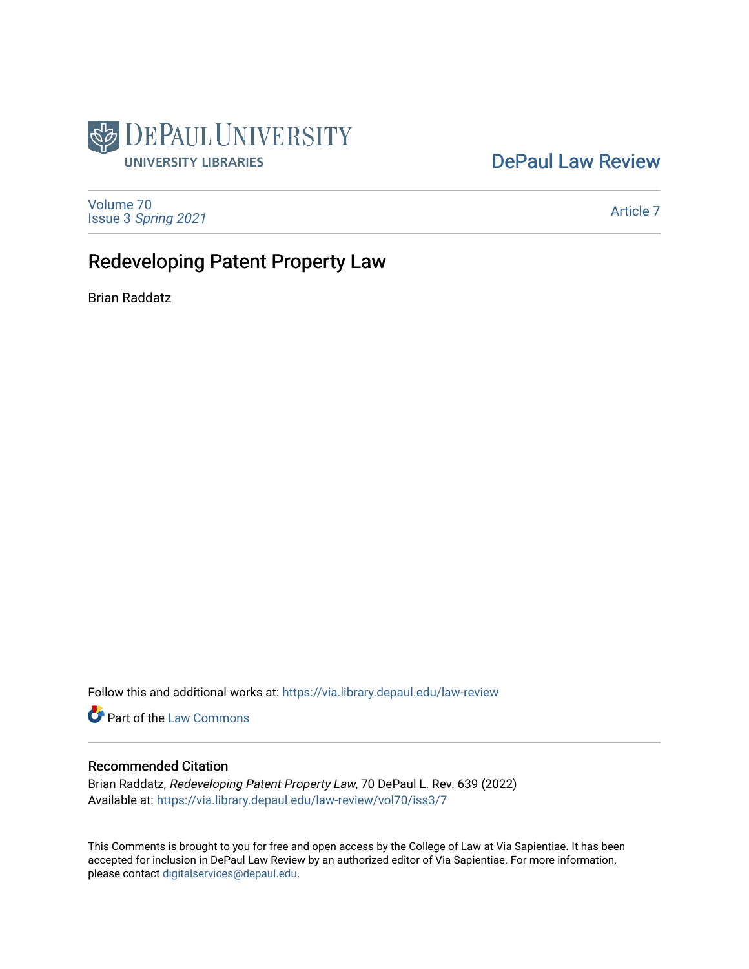

# [DePaul Law Review](https://via.library.depaul.edu/law-review)

[Volume 70](https://via.library.depaul.edu/law-review/vol70) Issue 3 [Spring 2021](https://via.library.depaul.edu/law-review/vol70/iss3) 

[Article 7](https://via.library.depaul.edu/law-review/vol70/iss3/7) 

# Redeveloping Patent Property Law

Brian Raddatz

Follow this and additional works at: [https://via.library.depaul.edu/law-review](https://via.library.depaul.edu/law-review?utm_source=via.library.depaul.edu%2Flaw-review%2Fvol70%2Fiss3%2F7&utm_medium=PDF&utm_campaign=PDFCoverPages) 

Part of the [Law Commons](http://network.bepress.com/hgg/discipline/578?utm_source=via.library.depaul.edu%2Flaw-review%2Fvol70%2Fiss3%2F7&utm_medium=PDF&utm_campaign=PDFCoverPages)

# Recommended Citation

Brian Raddatz, Redeveloping Patent Property Law, 70 DePaul L. Rev. 639 (2022) Available at: [https://via.library.depaul.edu/law-review/vol70/iss3/7](https://via.library.depaul.edu/law-review/vol70/iss3/7?utm_source=via.library.depaul.edu%2Flaw-review%2Fvol70%2Fiss3%2F7&utm_medium=PDF&utm_campaign=PDFCoverPages) 

This Comments is brought to you for free and open access by the College of Law at Via Sapientiae. It has been accepted for inclusion in DePaul Law Review by an authorized editor of Via Sapientiae. For more information, please contact [digitalservices@depaul.edu.](mailto:digitalservices@depaul.edu)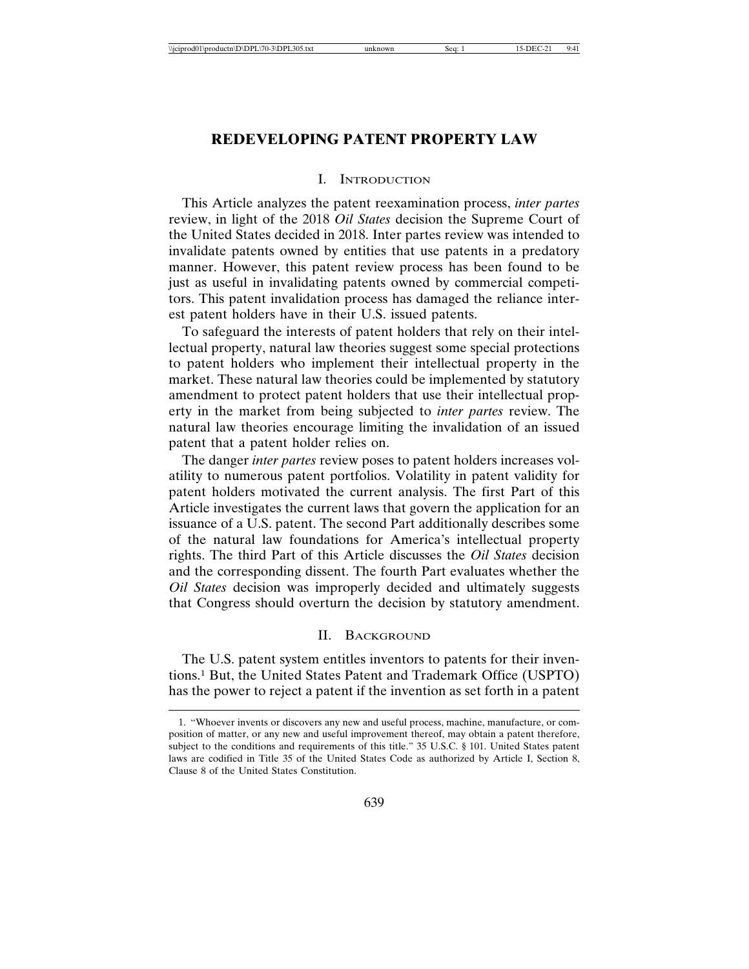## **REDEVELOPING PATENT PROPERTY LAW**

#### I. INTRODUCTION

This Article analyzes the patent reexamination process, *inter partes* review, in light of the 2018 *Oil States* decision the Supreme Court of the United States decided in 2018. Inter partes review was intended to invalidate patents owned by entities that use patents in a predatory manner. However, this patent review process has been found to be just as useful in invalidating patents owned by commercial competitors. This patent invalidation process has damaged the reliance interest patent holders have in their U.S. issued patents.

To safeguard the interests of patent holders that rely on their intellectual property, natural law theories suggest some special protections to patent holders who implement their intellectual property in the market. These natural law theories could be implemented by statutory amendment to protect patent holders that use their intellectual property in the market from being subjected to *inter partes* review. The natural law theories encourage limiting the invalidation of an issued patent that a patent holder relies on.

The danger *inter partes* review poses to patent holders increases volatility to numerous patent portfolios. Volatility in patent validity for patent holders motivated the current analysis. The first Part of this Article investigates the current laws that govern the application for an issuance of a U.S. patent. The second Part additionally describes some of the natural law foundations for America's intellectual property rights. The third Part of this Article discusses the *Oil States* decision and the corresponding dissent. The fourth Part evaluates whether the *Oil States* decision was improperly decided and ultimately suggests that Congress should overturn the decision by statutory amendment.

#### II. BACKGROUND

The U.S. patent system entitles inventors to patents for their inventions.1 But, the United States Patent and Trademark Office (USPTO) has the power to reject a patent if the invention as set forth in a patent

<sup>1. &</sup>quot;Whoever invents or discovers any new and useful process, machine, manufacture, or composition of matter, or any new and useful improvement thereof, may obtain a patent therefore, subject to the conditions and requirements of this title." 35 U.S.C. § 101. United States patent laws are codified in Title 35 of the United States Code as authorized by Article I, Section 8, Clause 8 of the United States Constitution.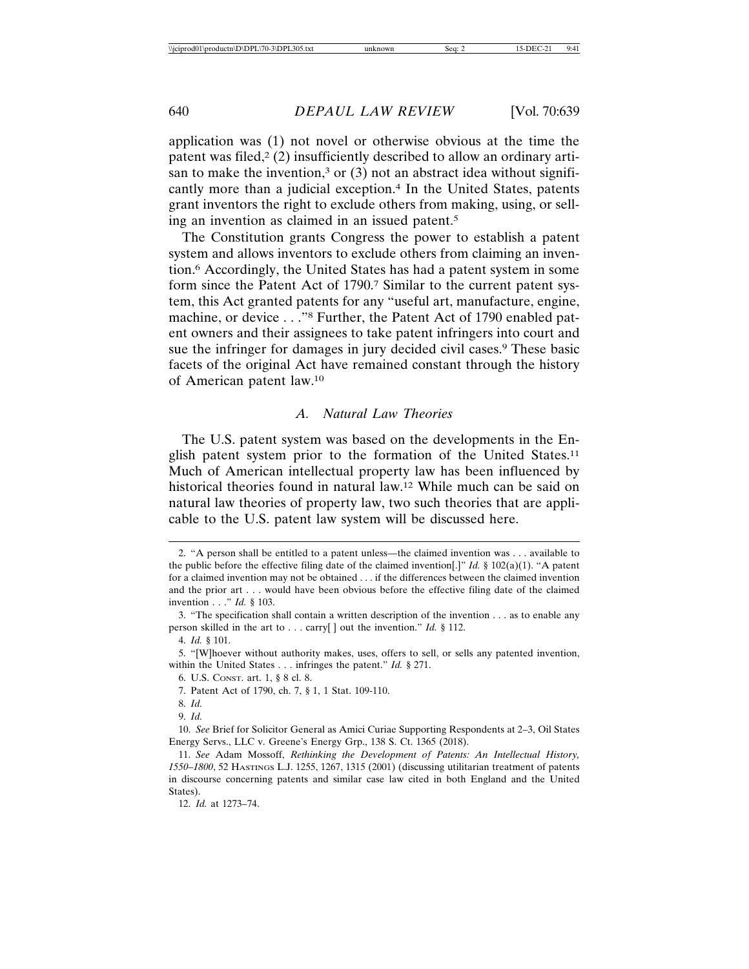application was (1) not novel or otherwise obvious at the time the patent was filed,<sup>2</sup> (2) insufficiently described to allow an ordinary artisan to make the invention,<sup>3</sup> or  $(3)$  not an abstract idea without significantly more than a judicial exception.<sup>4</sup> In the United States, patents grant inventors the right to exclude others from making, using, or selling an invention as claimed in an issued patent.5

The Constitution grants Congress the power to establish a patent system and allows inventors to exclude others from claiming an invention.6 Accordingly, the United States has had a patent system in some form since the Patent Act of 1790.7 Similar to the current patent system, this Act granted patents for any "useful art, manufacture, engine, machine, or device . . ."8 Further, the Patent Act of 1790 enabled patent owners and their assignees to take patent infringers into court and sue the infringer for damages in jury decided civil cases.<sup>9</sup> These basic facets of the original Act have remained constant through the history of American patent law.10

## *A. Natural Law Theories*

The U.S. patent system was based on the developments in the English patent system prior to the formation of the United States.11 Much of American intellectual property law has been influenced by historical theories found in natural law.12 While much can be said on natural law theories of property law, two such theories that are applicable to the U.S. patent law system will be discussed here.

12. *Id.* at 1273–74.

<sup>2. &</sup>quot;A person shall be entitled to a patent unless—the claimed invention was . . . available to the public before the effective filing date of the claimed invention[.]" *Id.* § 102(a)(1). "A patent for a claimed invention may not be obtained . . . if the differences between the claimed invention and the prior art . . . would have been obvious before the effective filing date of the claimed invention . . ." *Id.* § 103.

<sup>3. &</sup>quot;The specification shall contain a written description of the invention . . . as to enable any person skilled in the art to . . . carry[ ] out the invention." *Id.* § 112.

<sup>4.</sup> *Id.* § 101.

<sup>5. &</sup>quot;[W]hoever without authority makes, uses, offers to sell, or sells any patented invention, within the United States . . . infringes the patent." *Id.* § 271.

<sup>6.</sup> U.S. CONST. art. 1, § 8 cl. 8.

<sup>7.</sup> Patent Act of 1790, ch. 7, § 1, 1 Stat. 109-110.

<sup>8.</sup> *Id.*

<sup>9.</sup> *Id.*

<sup>10.</sup> *See* Brief for Solicitor General as Amici Curiae Supporting Respondents at 2–3, Oil States Energy Servs., LLC v. Greene's Energy Grp., 138 S. Ct. 1365 (2018).

<sup>11.</sup> *See* Adam Mossoff, *Rethinking the Development of Patents: An Intellectual History, 1550–1800*, 52 HASTINGS L.J. 1255, 1267, 1315 (2001) (discussing utilitarian treatment of patents in discourse concerning patents and similar case law cited in both England and the United States).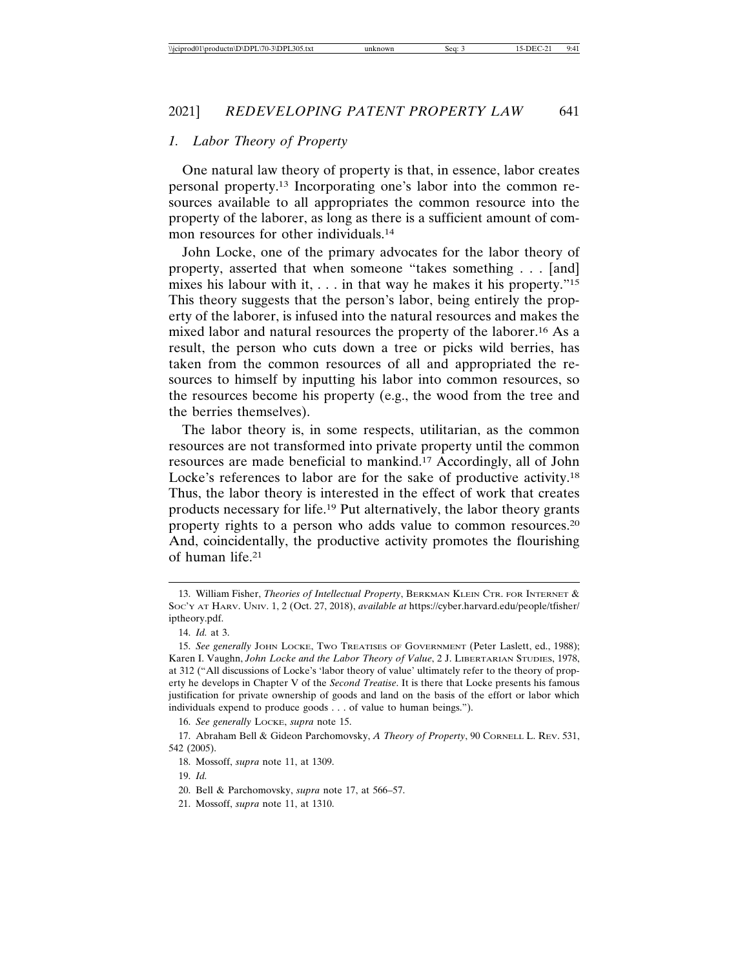## *1. Labor Theory of Property*

One natural law theory of property is that, in essence, labor creates personal property.13 Incorporating one's labor into the common resources available to all appropriates the common resource into the property of the laborer, as long as there is a sufficient amount of common resources for other individuals.<sup>14</sup>

John Locke, one of the primary advocates for the labor theory of property, asserted that when someone "takes something . . . [and] mixes his labour with it,  $\ldots$  in that way he makes it his property."<sup>15</sup> This theory suggests that the person's labor, being entirely the property of the laborer, is infused into the natural resources and makes the mixed labor and natural resources the property of the laborer.16 As a result, the person who cuts down a tree or picks wild berries, has taken from the common resources of all and appropriated the resources to himself by inputting his labor into common resources, so the resources become his property (e.g., the wood from the tree and the berries themselves).

The labor theory is, in some respects, utilitarian, as the common resources are not transformed into private property until the common resources are made beneficial to mankind.17 Accordingly, all of John Locke's references to labor are for the sake of productive activity.<sup>18</sup> Thus, the labor theory is interested in the effect of work that creates products necessary for life.19 Put alternatively, the labor theory grants property rights to a person who adds value to common resources.20 And, coincidentally, the productive activity promotes the flourishing of human life.21

16. *See generally* LOCKE, *supra* note 15.

17. Abraham Bell & Gideon Parchomovsky, *A Theory of Property*, 90 CORNELL L. REV. 531, 542 (2005).

18. Mossoff, *supra* note 11, at 1309.

20. Bell & Parchomovsky, *supra* note 17, at 566–57.

<sup>13.</sup> William Fisher, *Theories of Intellectual Property*, BERKMAN KLEIN CTR. FOR INTERNET & SOC'Y AT HARV. UNIV. 1, 2 (Oct. 27, 2018), *available at* https://cyber.harvard.edu/people/tfisher/ iptheory.pdf.

<sup>14.</sup> *Id.* at 3.

<sup>15.</sup> *See generally* JOHN LOCKE, TWO TREATISES OF GOVERNMENT (Peter Laslett, ed., 1988); Karen I. Vaughn, *John Locke and the Labor Theory of Value*, 2 J. LIBERTARIAN STUDIES, 1978, at 312 ("All discussions of Locke's 'labor theory of value' ultimately refer to the theory of property he develops in Chapter V of the *Second Treatise*. It is there that Locke presents his famous justification for private ownership of goods and land on the basis of the effort or labor which individuals expend to produce goods . . . of value to human beings.").

<sup>19.</sup> *Id.*

<sup>21.</sup> Mossoff, *supra* note 11, at 1310.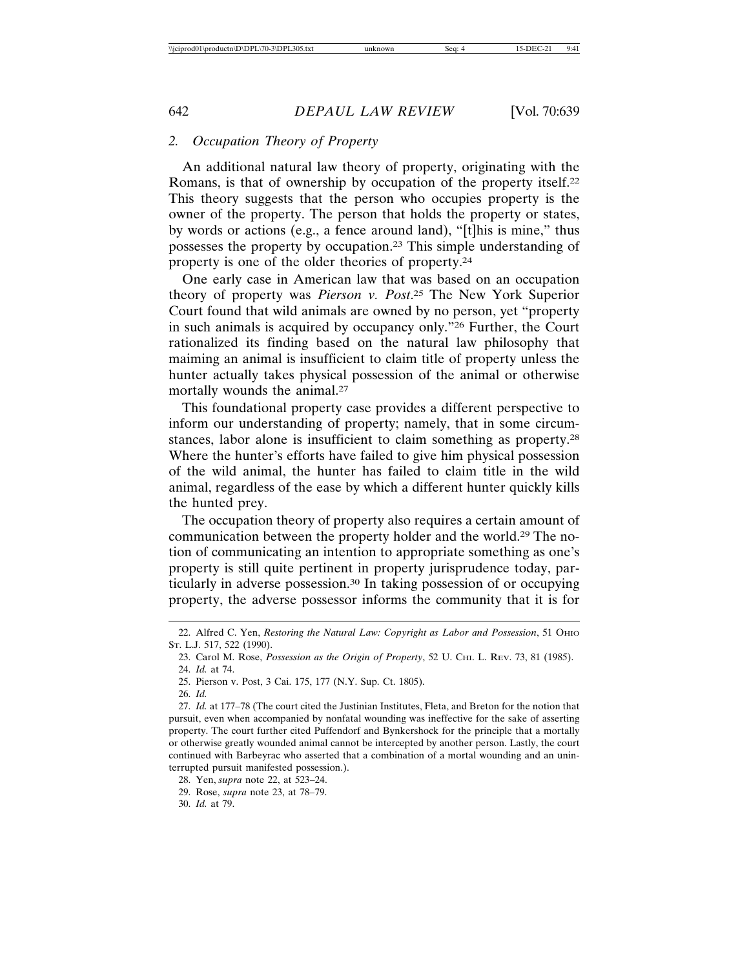## *2. Occupation Theory of Property*

An additional natural law theory of property, originating with the Romans, is that of ownership by occupation of the property itself.22 This theory suggests that the person who occupies property is the owner of the property. The person that holds the property or states, by words or actions (e.g., a fence around land), "[t]his is mine," thus possesses the property by occupation.23 This simple understanding of property is one of the older theories of property.24

One early case in American law that was based on an occupation theory of property was *Pierson v. Post*. 25 The New York Superior Court found that wild animals are owned by no person, yet "property in such animals is acquired by occupancy only."26 Further, the Court rationalized its finding based on the natural law philosophy that maiming an animal is insufficient to claim title of property unless the hunter actually takes physical possession of the animal or otherwise mortally wounds the animal.<sup>27</sup>

This foundational property case provides a different perspective to inform our understanding of property; namely, that in some circumstances, labor alone is insufficient to claim something as property.28 Where the hunter's efforts have failed to give him physical possession of the wild animal, the hunter has failed to claim title in the wild animal, regardless of the ease by which a different hunter quickly kills the hunted prey.

The occupation theory of property also requires a certain amount of communication between the property holder and the world.29 The notion of communicating an intention to appropriate something as one's property is still quite pertinent in property jurisprudence today, particularly in adverse possession.30 In taking possession of or occupying property, the adverse possessor informs the community that it is for

<sup>22.</sup> Alfred C. Yen, *Restoring the Natural Law: Copyright as Labor and Possession*, 51 OHIO ST. L.J. 517, 522 (1990).

<sup>23.</sup> Carol M. Rose, *Possession as the Origin of Property*, 52 U. CHI. L. REV. 73, 81 (1985). 24. *Id.* at 74.

<sup>25.</sup> Pierson v. Post, 3 Cai. 175, 177 (N.Y. Sup. Ct. 1805).

<sup>26.</sup> *Id.*

<sup>27.</sup> *Id.* at 177–78 (The court cited the Justinian Institutes, Fleta, and Breton for the notion that pursuit, even when accompanied by nonfatal wounding was ineffective for the sake of asserting property. The court further cited Puffendorf and Bynkershock for the principle that a mortally or otherwise greatly wounded animal cannot be intercepted by another person. Lastly, the court continued with Barbeyrac who asserted that a combination of a mortal wounding and an uninterrupted pursuit manifested possession.).

<sup>28.</sup> Yen, *supra* note 22, at 523–24.

<sup>29.</sup> Rose, *supra* note 23, at 78–79.

<sup>30.</sup> *Id.* at 79.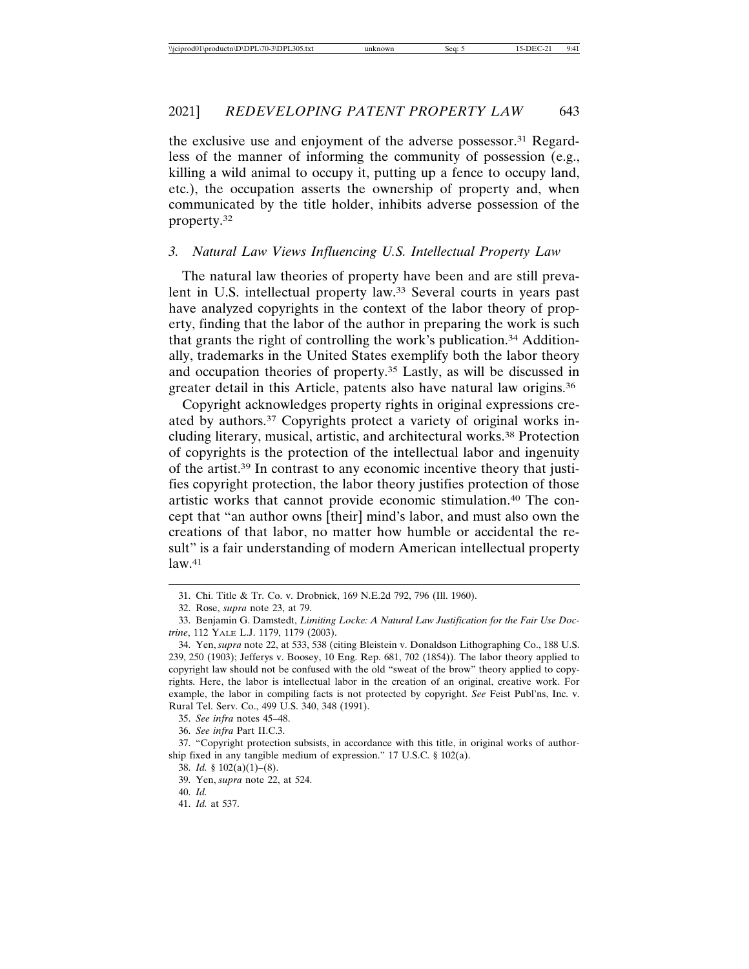the exclusive use and enjoyment of the adverse possessor.31 Regardless of the manner of informing the community of possession (e.g., killing a wild animal to occupy it, putting up a fence to occupy land, etc.), the occupation asserts the ownership of property and, when communicated by the title holder, inhibits adverse possession of the property.32

### *3. Natural Law Views Influencing U.S. Intellectual Property Law*

The natural law theories of property have been and are still prevalent in U.S. intellectual property law.33 Several courts in years past have analyzed copyrights in the context of the labor theory of property, finding that the labor of the author in preparing the work is such that grants the right of controlling the work's publication.34 Additionally, trademarks in the United States exemplify both the labor theory and occupation theories of property.35 Lastly, as will be discussed in greater detail in this Article, patents also have natural law origins.36

Copyright acknowledges property rights in original expressions created by authors.37 Copyrights protect a variety of original works including literary, musical, artistic, and architectural works.38 Protection of copyrights is the protection of the intellectual labor and ingenuity of the artist.39 In contrast to any economic incentive theory that justifies copyright protection, the labor theory justifies protection of those artistic works that cannot provide economic stimulation.40 The concept that "an author owns [their] mind's labor, and must also own the creations of that labor, no matter how humble or accidental the result" is a fair understanding of modern American intellectual property  $law.<sup>41</sup>$ 

<sup>31.</sup> Chi. Title & Tr. Co. v. Drobnick, 169 N.E.2d 792, 796 (Ill. 1960).

<sup>32.</sup> Rose, *supra* note 23, at 79.

<sup>33.</sup> Benjamin G. Damstedt, *Limiting Locke: A Natural Law Justification for the Fair Use Doctrine*, 112 YALE L.J. 1179, 1179 (2003).

<sup>34.</sup> Yen, *supra* note 22, at 533, 538 (citing Bleistein v. Donaldson Lithographing Co., 188 U.S. 239, 250 (1903); Jefferys v. Boosey, 10 Eng. Rep. 681, 702 (1854)). The labor theory applied to copyright law should not be confused with the old "sweat of the brow" theory applied to copyrights. Here, the labor is intellectual labor in the creation of an original, creative work. For example, the labor in compiling facts is not protected by copyright. *See* Feist Publ'ns, Inc. v. Rural Tel. Serv. Co., 499 U.S. 340, 348 (1991).

<sup>35.</sup> *See infra* notes 45–48.

<sup>36.</sup> *See infra* Part II.C.3.

<sup>37. &</sup>quot;Copyright protection subsists, in accordance with this title, in original works of authorship fixed in any tangible medium of expression." 17 U.S.C. § 102(a).

<sup>38.</sup> *Id.* § 102(a)(1)–(8).

<sup>39.</sup> Yen, *supra* note 22, at 524.

<sup>40.</sup> *Id.*

<sup>41.</sup> *Id.* at 537.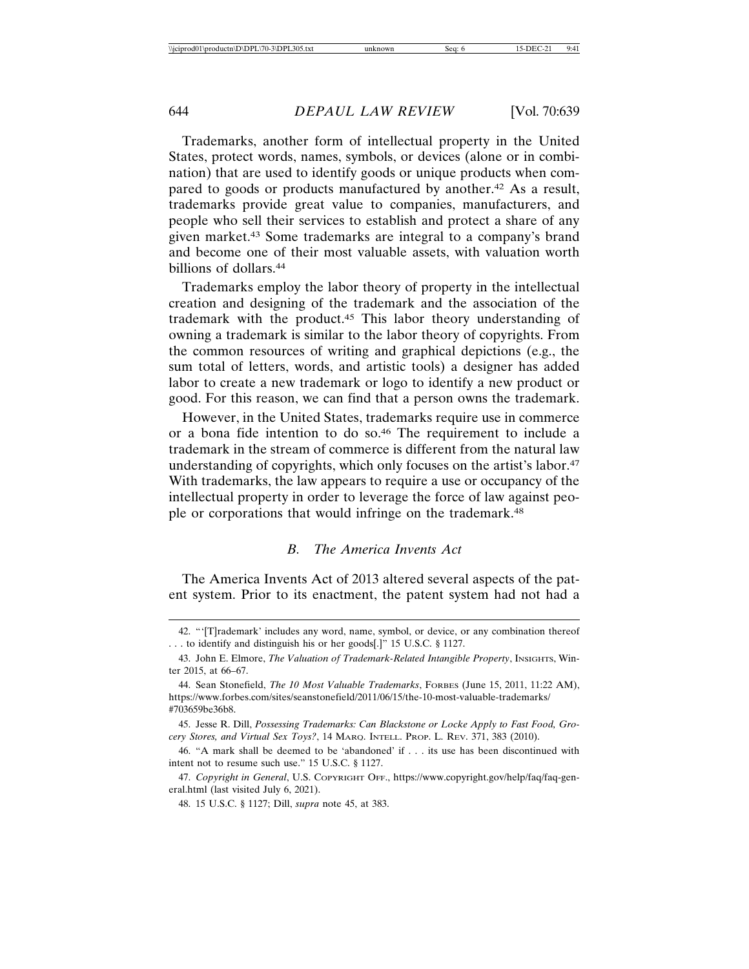Trademarks, another form of intellectual property in the United States, protect words, names, symbols, or devices (alone or in combination) that are used to identify goods or unique products when compared to goods or products manufactured by another.<sup>42</sup> As a result, trademarks provide great value to companies, manufacturers, and people who sell their services to establish and protect a share of any given market.43 Some trademarks are integral to a company's brand and become one of their most valuable assets, with valuation worth billions of dollars.44

Trademarks employ the labor theory of property in the intellectual creation and designing of the trademark and the association of the trademark with the product.45 This labor theory understanding of owning a trademark is similar to the labor theory of copyrights. From the common resources of writing and graphical depictions (e.g., the sum total of letters, words, and artistic tools) a designer has added labor to create a new trademark or logo to identify a new product or good. For this reason, we can find that a person owns the trademark.

However, in the United States, trademarks require use in commerce or a bona fide intention to do so.46 The requirement to include a trademark in the stream of commerce is different from the natural law understanding of copyrights, which only focuses on the artist's labor.<sup>47</sup> With trademarks, the law appears to require a use or occupancy of the intellectual property in order to leverage the force of law against people or corporations that would infringe on the trademark.<sup>48</sup>

## *B. The America Invents Act*

The America Invents Act of 2013 altered several aspects of the patent system. Prior to its enactment, the patent system had not had a

<sup>42. &</sup>quot;'[T]rademark' includes any word, name, symbol, or device, or any combination thereof . . . to identify and distinguish his or her goods[.]" 15 U.S.C. § 1127.

<sup>43.</sup> John E. Elmore, *The Valuation of Trademark-Related Intangible Property*, Insights, Winter 2015, at 66–67.

<sup>44.</sup> Sean Stonefield, *The 10 Most Valuable Trademarks*, FORBES (June 15, 2011, 11:22 AM), https://www.forbes.com/sites/seanstonefield/2011/06/15/the-10-most-valuable-trademarks/ #703659be36b8.

<sup>45.</sup> Jesse R. Dill, *Possessing Trademarks: Can Blackstone or Locke Apply to Fast Food, Grocery Stores, and Virtual Sex Toys?*, 14 MARQ. INTELL. PROP. L. REV. 371, 383 (2010).

<sup>46. &</sup>quot;A mark shall be deemed to be 'abandoned' if . . . its use has been discontinued with intent not to resume such use." 15 U.S.C. § 1127.

<sup>47.</sup> *Copyright in General*, U.S. COPYRIGHT OFF., https://www.copyright.gov/help/faq/faq-general.html (last visited July 6, 2021).

<sup>48. 15</sup> U.S.C. § 1127; Dill, *supra* note 45, at 383.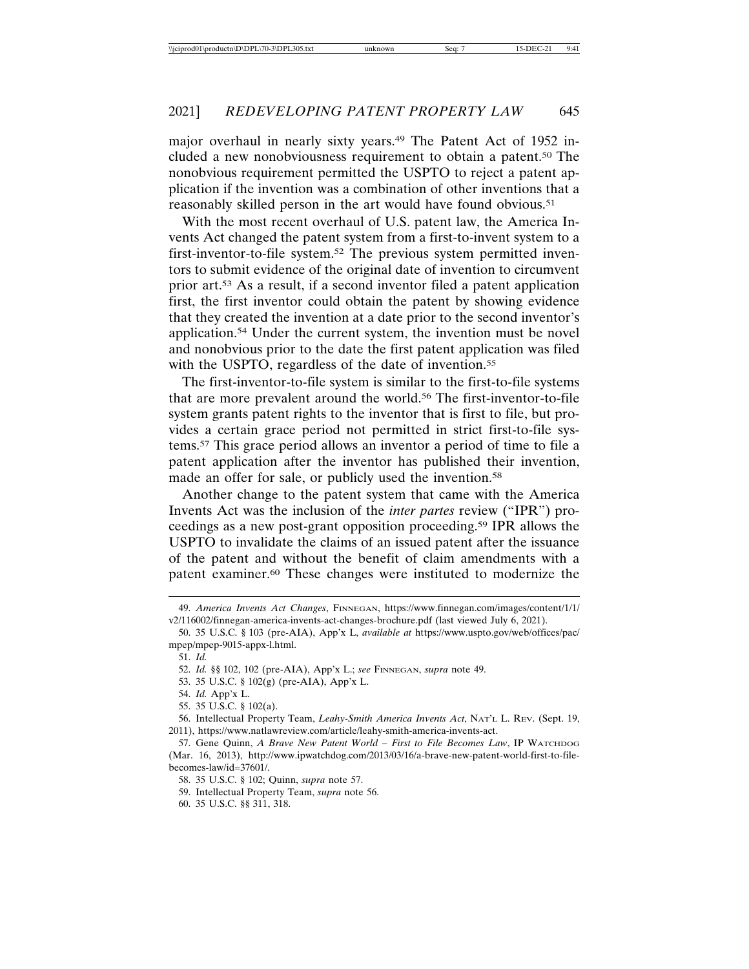major overhaul in nearly sixty years.49 The Patent Act of 1952 included a new nonobviousness requirement to obtain a patent.50 The nonobvious requirement permitted the USPTO to reject a patent application if the invention was a combination of other inventions that a reasonably skilled person in the art would have found obvious.<sup>51</sup>

With the most recent overhaul of U.S. patent law, the America Invents Act changed the patent system from a first-to-invent system to a first-inventor-to-file system.52 The previous system permitted inventors to submit evidence of the original date of invention to circumvent prior art.53 As a result, if a second inventor filed a patent application first, the first inventor could obtain the patent by showing evidence that they created the invention at a date prior to the second inventor's application.54 Under the current system, the invention must be novel and nonobvious prior to the date the first patent application was filed with the USPTO, regardless of the date of invention.<sup>55</sup>

The first-inventor-to-file system is similar to the first-to-file systems that are more prevalent around the world.56 The first-inventor-to-file system grants patent rights to the inventor that is first to file, but provides a certain grace period not permitted in strict first-to-file systems.57 This grace period allows an inventor a period of time to file a patent application after the inventor has published their invention, made an offer for sale, or publicly used the invention.<sup>58</sup>

Another change to the patent system that came with the America Invents Act was the inclusion of the *inter partes* review ("IPR") proceedings as a new post-grant opposition proceeding.59 IPR allows the USPTO to invalidate the claims of an issued patent after the issuance of the patent and without the benefit of claim amendments with a patent examiner.60 These changes were instituted to modernize the

<sup>49.</sup> *America Invents Act Changes*, FINNEGAN, https://www.finnegan.com/images/content/1/1/ v2/116002/finnegan-america-invents-act-changes-brochure.pdf (last viewed July 6, 2021).

<sup>50. 35</sup> U.S.C. § 103 (pre-AIA), App'x L, *available at* https://www.uspto.gov/web/offices/pac/ mpep/mpep-9015-appx-l.html.

<sup>51.</sup> *Id.*

<sup>52.</sup> *Id.* §§ 102, 102 (pre-AIA), App'x L.; *see* FINNEGAN, *supra* note 49.

<sup>53. 35</sup> U.S.C. § 102(g) (pre-AIA), App'x L.

<sup>54.</sup> *Id.* App'x L.

<sup>55. 35</sup> U.S.C. § 102(a).

<sup>56.</sup> Intellectual Property Team, *Leahy-Smith America Invents Act*, NAT'L L. REV. (Sept. 19, 2011), https://www.natlawreview.com/article/leahy-smith-america-invents-act.

<sup>57.</sup> Gene Quinn, *A Brave New Patent World – First to File Becomes Law*, IP WATCHDOG (Mar. 16, 2013), http://www.ipwatchdog.com/2013/03/16/a-brave-new-patent-world-first-to-filebecomes-law/id=37601/.

<sup>58. 35</sup> U.S.C. § 102; Quinn, *supra* note 57.

<sup>59.</sup> Intellectual Property Team, *supra* note 56.

<sup>60. 35</sup> U.S.C. §§ 311, 318.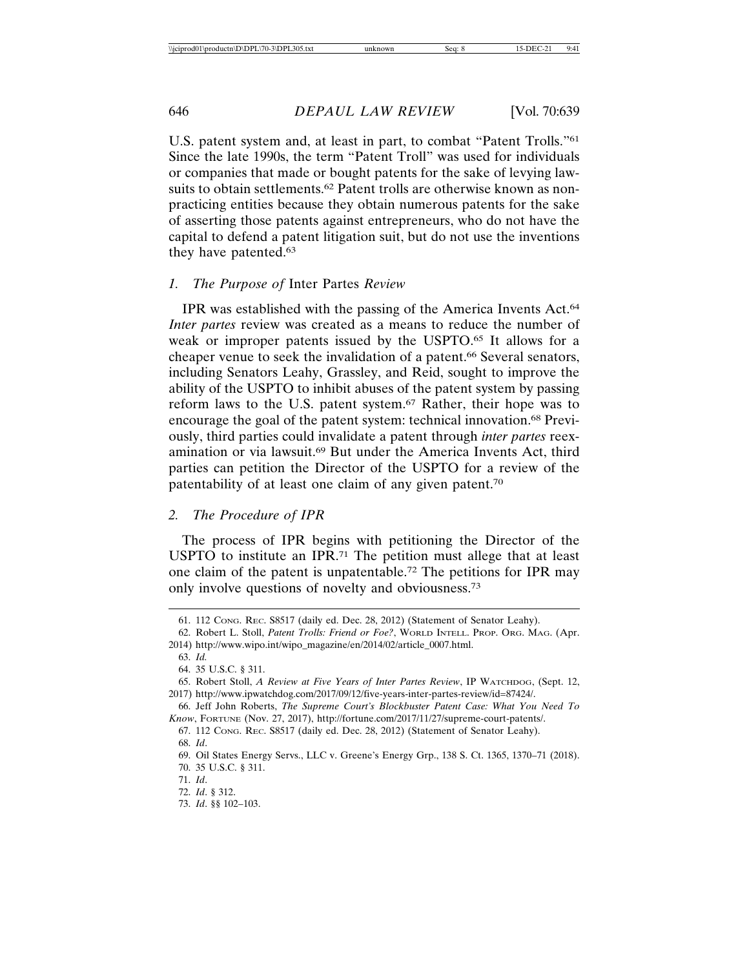U.S. patent system and, at least in part, to combat "Patent Trolls."61 Since the late 1990s, the term "Patent Troll" was used for individuals or companies that made or bought patents for the sake of levying lawsuits to obtain settlements.<sup>62</sup> Patent trolls are otherwise known as nonpracticing entities because they obtain numerous patents for the sake of asserting those patents against entrepreneurs, who do not have the capital to defend a patent litigation suit, but do not use the inventions they have patented.63

#### *1. The Purpose of* Inter Partes *Review*

IPR was established with the passing of the America Invents Act.64 *Inter partes* review was created as a means to reduce the number of weak or improper patents issued by the USPTO.65 It allows for a cheaper venue to seek the invalidation of a patent.<sup>66</sup> Several senators, including Senators Leahy, Grassley, and Reid, sought to improve the ability of the USPTO to inhibit abuses of the patent system by passing reform laws to the U.S. patent system.67 Rather, their hope was to encourage the goal of the patent system: technical innovation.68 Previously, third parties could invalidate a patent through *inter partes* reexamination or via lawsuit.69 But under the America Invents Act, third parties can petition the Director of the USPTO for a review of the patentability of at least one claim of any given patent.70

#### *2. The Procedure of IPR*

The process of IPR begins with petitioning the Director of the USPTO to institute an IPR.71 The petition must allege that at least one claim of the patent is unpatentable.72 The petitions for IPR may only involve questions of novelty and obviousness.73

64. 35 U.S.C. § 311.

<sup>61. 112</sup> CONG. REC. S8517 (daily ed. Dec. 28, 2012) (Statement of Senator Leahy).

<sup>62.</sup> Robert L. Stoll, *Patent Trolls: Friend or Foe?*, WORLD INTELL. PROP. ORG. MAG. (Apr. 2014) http://www.wipo.int/wipo\_magazine/en/2014/02/article\_0007.html.

<sup>63.</sup> *Id.*

<sup>65.</sup> Robert Stoll, *A Review at Five Years of Inter Partes Review*, IP WATCHDOG, (Sept. 12, 2017) http://www.ipwatchdog.com/2017/09/12/five-years-inter-partes-review/id=87424/.

<sup>66.</sup> Jeff John Roberts, *The Supreme Court's Blockbuster Patent Case: What You Need To Know*, FORTUNE (Nov. 27, 2017), http://fortune.com/2017/11/27/supreme-court-patents/.

<sup>67. 112</sup> CONG. REC. S8517 (daily ed. Dec. 28, 2012) (Statement of Senator Leahy). 68. *Id*.

<sup>69.</sup> Oil States Energy Servs., LLC v. Greene's Energy Grp., 138 S. Ct. 1365, 1370–71 (2018). 70. 35 U.S.C. § 311.

<sup>71.</sup> *Id*.

<sup>72.</sup> *Id*. § 312.

<sup>73.</sup> *Id*. §§ 102–103.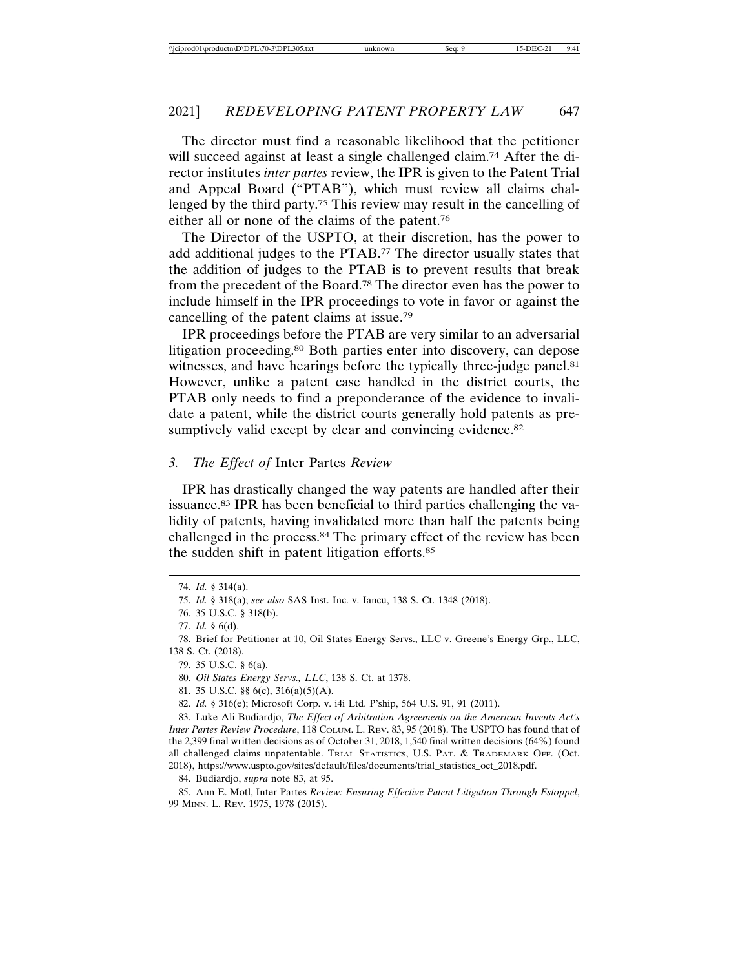The director must find a reasonable likelihood that the petitioner will succeed against at least a single challenged claim.<sup>74</sup> After the director institutes *inter partes* review, the IPR is given to the Patent Trial and Appeal Board ("PTAB"), which must review all claims challenged by the third party.75 This review may result in the cancelling of either all or none of the claims of the patent.76

The Director of the USPTO, at their discretion, has the power to add additional judges to the PTAB.77 The director usually states that the addition of judges to the PTAB is to prevent results that break from the precedent of the Board.78 The director even has the power to include himself in the IPR proceedings to vote in favor or against the cancelling of the patent claims at issue.79

IPR proceedings before the PTAB are very similar to an adversarial litigation proceeding.80 Both parties enter into discovery, can depose witnesses, and have hearings before the typically three-judge panel.<sup>81</sup> However, unlike a patent case handled in the district courts, the PTAB only needs to find a preponderance of the evidence to invalidate a patent, while the district courts generally hold patents as presumptively valid except by clear and convincing evidence.<sup>82</sup>

#### *3. The Effect of* Inter Partes *Review*

IPR has drastically changed the way patents are handled after their issuance.83 IPR has been beneficial to third parties challenging the validity of patents, having invalidated more than half the patents being challenged in the process.84 The primary effect of the review has been the sudden shift in patent litigation efforts.85

84. Budiardjo, *supra* note 83, at 95.

85. Ann E. Motl, Inter Partes *Review: Ensuring Effective Patent Litigation Through Estoppel*, 99 MINN. L. REV. 1975, 1978 (2015).

<sup>74.</sup> *Id.* § 314(a).

<sup>75.</sup> *Id.* § 318(a); *see also* SAS Inst. Inc. v. Iancu, 138 S. Ct. 1348 (2018).

<sup>76. 35</sup> U.S.C. § 318(b).

<sup>77.</sup> *Id.* § 6(d).

<sup>78.</sup> Brief for Petitioner at 10, Oil States Energy Servs., LLC v. Greene's Energy Grp., LLC, 138 S. Ct. (2018).

<sup>79. 35</sup> U.S.C. § 6(a).

<sup>80.</sup> *Oil States Energy Servs., LLC*, 138 S. Ct. at 1378.

<sup>81. 35</sup> U.S.C. §§ 6(c), 316(a)(5)(A).

<sup>82.</sup> *Id.* § 316(e); Microsoft Corp. v. i4i Ltd. P'ship, 564 U.S. 91, 91 (2011).

<sup>83.</sup> Luke Ali Budiardjo, *The Effect of Arbitration Agreements on the American Invents Act's Inter Partes Review Procedure*, 118 COLUM. L. REV. 83, 95 (2018). The USPTO has found that of the 2,399 final written decisions as of October 31, 2018, 1,540 final written decisions (64%) found all challenged claims unpatentable. TRIAL STATISTICS, U.S. PAT. & TRADEMARK OFF. (Oct. 2018), https://www.uspto.gov/sites/default/files/documents/trial\_statistics\_oct\_2018.pdf.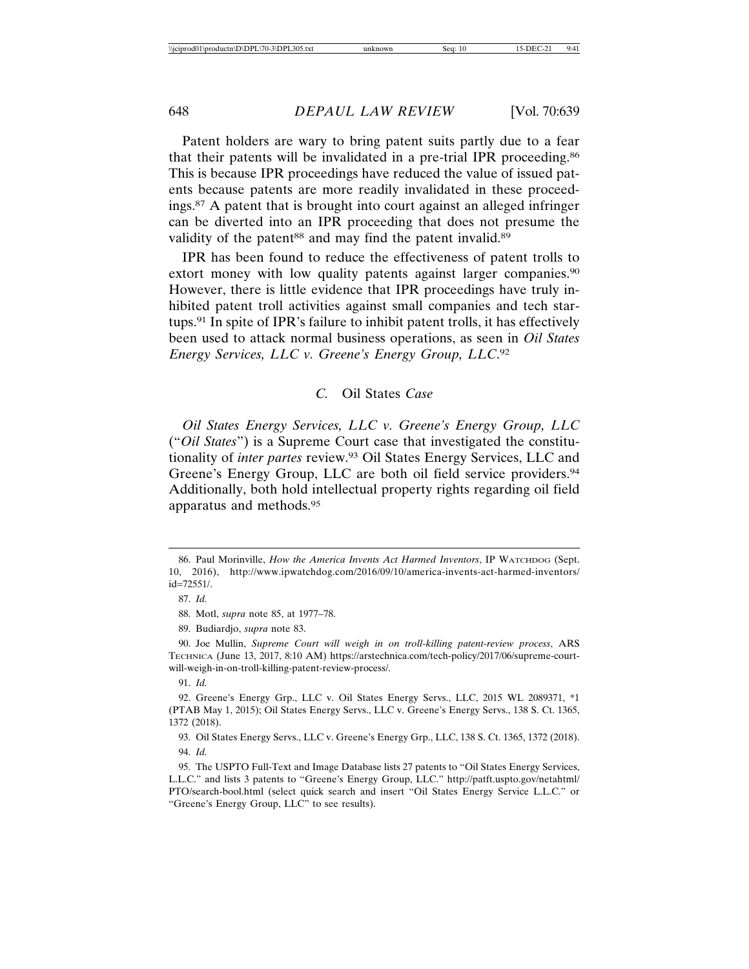Patent holders are wary to bring patent suits partly due to a fear that their patents will be invalidated in a pre-trial IPR proceeding.86 This is because IPR proceedings have reduced the value of issued patents because patents are more readily invalidated in these proceedings.87 A patent that is brought into court against an alleged infringer can be diverted into an IPR proceeding that does not presume the validity of the patent<sup>88</sup> and may find the patent invalid.<sup>89</sup>

IPR has been found to reduce the effectiveness of patent trolls to extort money with low quality patents against larger companies.<sup>90</sup> However, there is little evidence that IPR proceedings have truly inhibited patent troll activities against small companies and tech startups.91 In spite of IPR's failure to inhibit patent trolls, it has effectively been used to attack normal business operations, as seen in *Oil States Energy Services, LLC v. Greene's Energy Group, LLC*. 92

*C.* Oil States *Case*

*Oil States Energy Services, LLC v. Greene's Energy Group, LLC* ("*Oil States*") is a Supreme Court case that investigated the constitutionality of *inter partes* review.93 Oil States Energy Services, LLC and Greene's Energy Group, LLC are both oil field service providers.<sup>94</sup> Additionally, both hold intellectual property rights regarding oil field apparatus and methods.95

88. Motl, *supra* note 85, at 1977–78.

89. Budiardjo, *supra* note 83.

90. Joe Mullin, *Supreme Court will weigh in on troll-killing patent-review process*, ARS TECHNICA (June 13, 2017, 8:10 AM) https://arstechnica.com/tech-policy/2017/06/supreme-courtwill-weigh-in-on-troll-killing-patent-review-process/.

93. Oil States Energy Servs., LLC v. Greene's Energy Grp., LLC, 138 S. Ct. 1365, 1372 (2018). 94. *Id.*

95. The USPTO Full-Text and Image Database lists 27 patents to "Oil States Energy Services, L.L.C." and lists 3 patents to "Greene's Energy Group, LLC." http://patft.uspto.gov/netahtml/ PTO/search-bool.html (select quick search and insert "Oil States Energy Service L.L.C." or "Greene's Energy Group, LLC" to see results).

<sup>86.</sup> Paul Morinville, *How the America Invents Act Harmed Inventors*, IP WATCHDOG (Sept. 10, 2016), http://www.ipwatchdog.com/2016/09/10/america-invents-act-harmed-inventors/ id=72551/.

<sup>87.</sup> *Id.*

<sup>91.</sup> *Id.*

<sup>92.</sup> Greene's Energy Grp., LLC v. Oil States Energy Servs., LLC, 2015 WL 2089371, \*1 (PTAB May 1, 2015); Oil States Energy Servs., LLC v. Greene's Energy Servs., 138 S. Ct. 1365, 1372 (2018).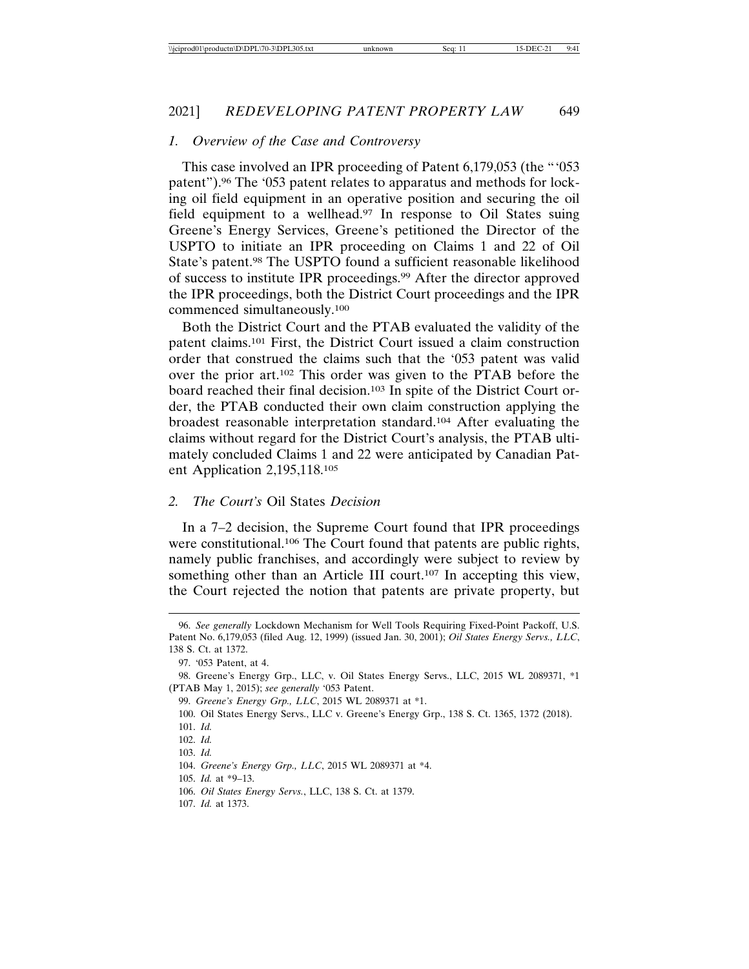#### *1. Overview of the Case and Controversy*

This case involved an IPR proceeding of Patent 6,179,053 (the "'053 patent").96 The '053 patent relates to apparatus and methods for locking oil field equipment in an operative position and securing the oil field equipment to a wellhead.<sup>97</sup> In response to Oil States suing Greene's Energy Services, Greene's petitioned the Director of the USPTO to initiate an IPR proceeding on Claims 1 and 22 of Oil State's patent.98 The USPTO found a sufficient reasonable likelihood of success to institute IPR proceedings.99 After the director approved the IPR proceedings, both the District Court proceedings and the IPR commenced simultaneously.100

Both the District Court and the PTAB evaluated the validity of the patent claims.101 First, the District Court issued a claim construction order that construed the claims such that the '053 patent was valid over the prior art.102 This order was given to the PTAB before the board reached their final decision.103 In spite of the District Court order, the PTAB conducted their own claim construction applying the broadest reasonable interpretation standard.104 After evaluating the claims without regard for the District Court's analysis, the PTAB ultimately concluded Claims 1 and 22 were anticipated by Canadian Patent Application 2,195,118.105

#### *2. The Court's* Oil States *Decision*

In a 7–2 decision, the Supreme Court found that IPR proceedings were constitutional.<sup>106</sup> The Court found that patents are public rights, namely public franchises, and accordingly were subject to review by something other than an Article III court.<sup>107</sup> In accepting this view, the Court rejected the notion that patents are private property, but

107. *Id.* at 1373.

<sup>96.</sup> *See generally* Lockdown Mechanism for Well Tools Requiring Fixed-Point Packoff, U.S. Patent No. 6,179,053 (filed Aug. 12, 1999) (issued Jan. 30, 2001); *Oil States Energy Servs., LLC*, 138 S. Ct. at 1372.

<sup>97. &#</sup>x27;053 Patent, at 4.

<sup>98.</sup> Greene's Energy Grp., LLC, v. Oil States Energy Servs., LLC, 2015 WL 2089371, \*1 (PTAB May 1, 2015); *see generally* '053 Patent.

<sup>99.</sup> *Greene's Energy Grp., LLC*, 2015 WL 2089371 at \*1.

<sup>100.</sup> Oil States Energy Servs., LLC v. Greene's Energy Grp., 138 S. Ct. 1365, 1372 (2018). 101. *Id.*

<sup>102.</sup> *Id.*

<sup>103.</sup> *Id.*

<sup>104.</sup> *Greene's Energy Grp., LLC*, 2015 WL 2089371 at \*4.

<sup>105.</sup> *Id.* at \*9–13.

<sup>106.</sup> *Oil States Energy Servs.*, LLC, 138 S. Ct. at 1379.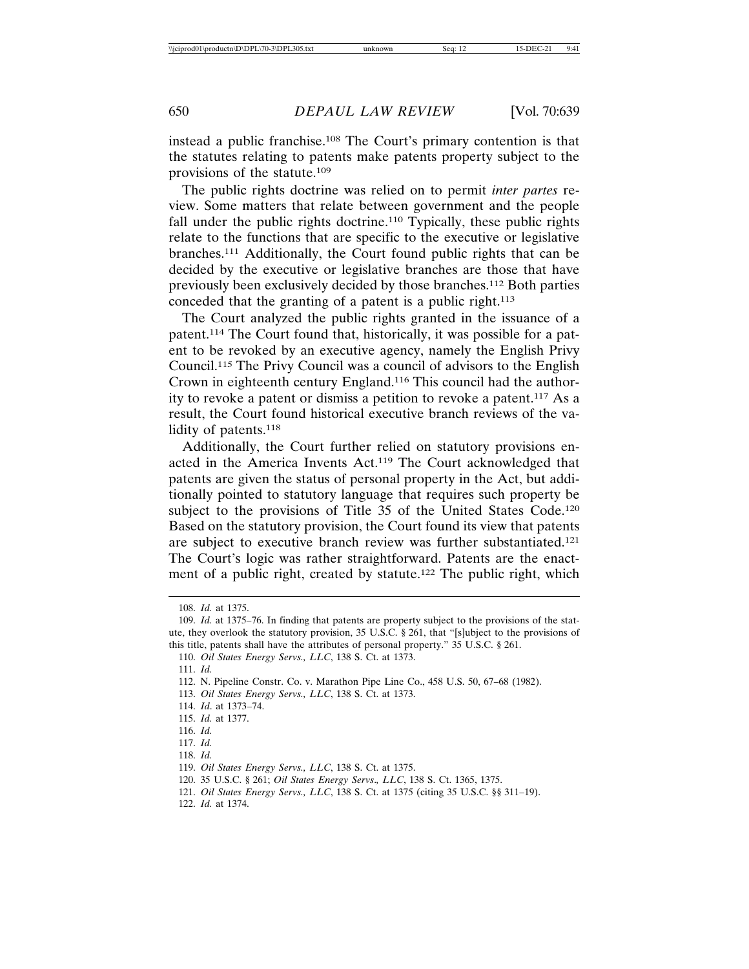instead a public franchise.108 The Court's primary contention is that the statutes relating to patents make patents property subject to the provisions of the statute.109

The public rights doctrine was relied on to permit *inter partes* review. Some matters that relate between government and the people fall under the public rights doctrine.110 Typically, these public rights relate to the functions that are specific to the executive or legislative branches.111 Additionally, the Court found public rights that can be decided by the executive or legislative branches are those that have previously been exclusively decided by those branches.112 Both parties conceded that the granting of a patent is a public right.113

The Court analyzed the public rights granted in the issuance of a patent.114 The Court found that, historically, it was possible for a patent to be revoked by an executive agency, namely the English Privy Council.115 The Privy Council was a council of advisors to the English Crown in eighteenth century England.116 This council had the authority to revoke a patent or dismiss a petition to revoke a patent.117 As a result, the Court found historical executive branch reviews of the validity of patents.118

Additionally, the Court further relied on statutory provisions enacted in the America Invents Act.119 The Court acknowledged that patents are given the status of personal property in the Act, but additionally pointed to statutory language that requires such property be subject to the provisions of Title 35 of the United States Code.<sup>120</sup> Based on the statutory provision, the Court found its view that patents are subject to executive branch review was further substantiated.121 The Court's logic was rather straightforward. Patents are the enactment of a public right, created by statute.<sup>122</sup> The public right, which

110. *Oil States Energy Servs., LLC*, 138 S. Ct. at 1373.

- 113. *Oil States Energy Servs., LLC*, 138 S. Ct. at 1373.
- 114. *Id*. at 1373–74.
- 115. *Id.* at 1377.

117. *Id.*

- 120. 35 U.S.C. § 261; *Oil States Energy Servs*.*, LLC*, 138 S. Ct. 1365, 1375.
- 121. *Oil States Energy Servs., LLC*, 138 S. Ct. at 1375 (citing 35 U.S.C. §§ 311–19).
- 122. *Id.* at 1374.

<sup>108.</sup> *Id.* at 1375.

<sup>109.</sup> *Id.* at 1375–76. In finding that patents are property subject to the provisions of the statute, they overlook the statutory provision, 35 U.S.C. § 261, that "[s]ubject to the provisions of this title, patents shall have the attributes of personal property." 35 U.S.C. § 261.

<sup>111.</sup> *Id.*

<sup>112.</sup> N. Pipeline Constr. Co. v. Marathon Pipe Line Co., 458 U.S. 50, 67–68 (1982).

<sup>116.</sup> *Id.*

<sup>118.</sup> *Id.*

<sup>119.</sup> *Oil States Energy Servs., LLC*, 138 S. Ct. at 1375.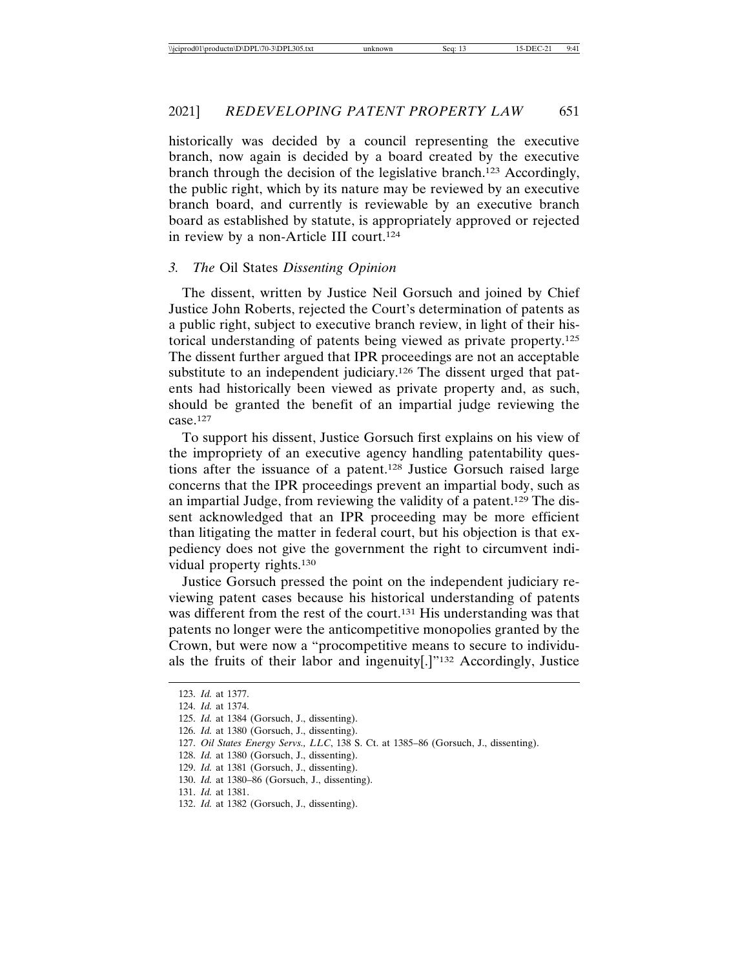historically was decided by a council representing the executive branch, now again is decided by a board created by the executive branch through the decision of the legislative branch.123 Accordingly, the public right, which by its nature may be reviewed by an executive branch board, and currently is reviewable by an executive branch board as established by statute, is appropriately approved or rejected in review by a non-Article III court.124

## *3. The* Oil States *Dissenting Opinion*

The dissent, written by Justice Neil Gorsuch and joined by Chief Justice John Roberts, rejected the Court's determination of patents as a public right, subject to executive branch review, in light of their historical understanding of patents being viewed as private property.125 The dissent further argued that IPR proceedings are not an acceptable substitute to an independent judiciary.<sup>126</sup> The dissent urged that patents had historically been viewed as private property and, as such, should be granted the benefit of an impartial judge reviewing the case.127

To support his dissent, Justice Gorsuch first explains on his view of the impropriety of an executive agency handling patentability questions after the issuance of a patent.128 Justice Gorsuch raised large concerns that the IPR proceedings prevent an impartial body, such as an impartial Judge, from reviewing the validity of a patent.129 The dissent acknowledged that an IPR proceeding may be more efficient than litigating the matter in federal court, but his objection is that expediency does not give the government the right to circumvent individual property rights.130

Justice Gorsuch pressed the point on the independent judiciary reviewing patent cases because his historical understanding of patents was different from the rest of the court.<sup>131</sup> His understanding was that patents no longer were the anticompetitive monopolies granted by the Crown, but were now a "procompetitive means to secure to individuals the fruits of their labor and ingenuity[.]"132 Accordingly, Justice

<sup>123.</sup> *Id.* at 1377.

<sup>124.</sup> *Id.* at 1374.

<sup>125.</sup> *Id.* at 1384 (Gorsuch, J., dissenting).

<sup>126.</sup> *Id.* at 1380 (Gorsuch, J., dissenting).

<sup>127.</sup> *Oil States Energy Servs., LLC*, 138 S. Ct. at 1385–86 (Gorsuch, J., dissenting).

<sup>128.</sup> *Id.* at 1380 (Gorsuch, J., dissenting).

<sup>129.</sup> *Id.* at 1381 (Gorsuch, J., dissenting).

<sup>130.</sup> *Id.* at 1380–86 (Gorsuch, J., dissenting).

<sup>131.</sup> *Id.* at 1381.

<sup>132.</sup> *Id.* at 1382 (Gorsuch, J., dissenting).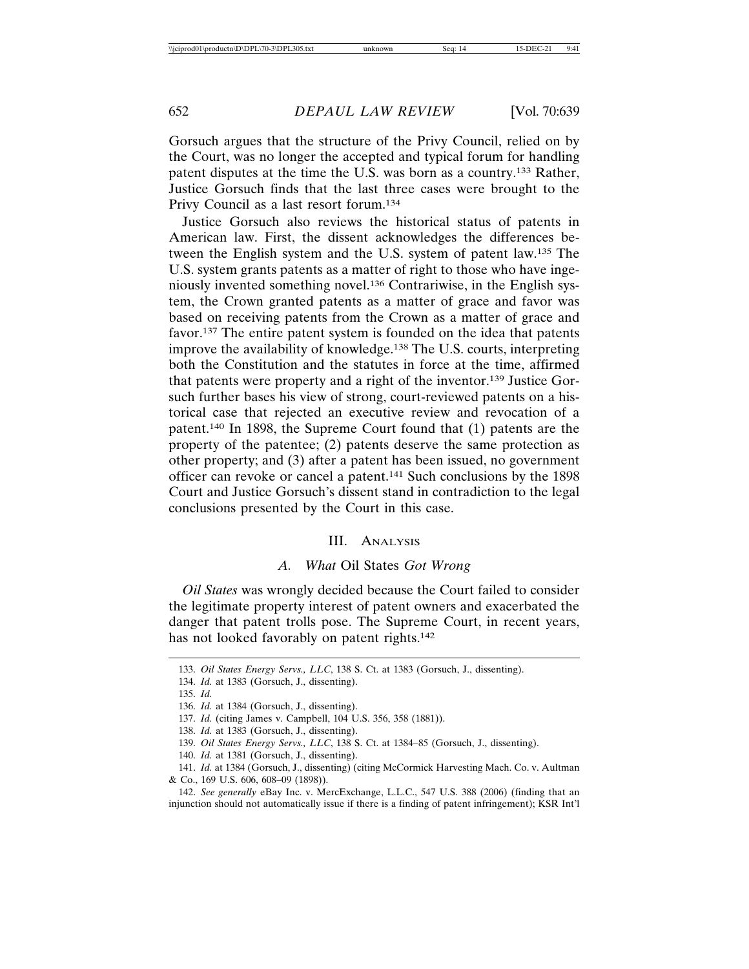Gorsuch argues that the structure of the Privy Council, relied on by the Court, was no longer the accepted and typical forum for handling patent disputes at the time the U.S. was born as a country.133 Rather, Justice Gorsuch finds that the last three cases were brought to the Privy Council as a last resort forum.134

Justice Gorsuch also reviews the historical status of patents in American law. First, the dissent acknowledges the differences between the English system and the U.S. system of patent law.135 The U.S. system grants patents as a matter of right to those who have ingeniously invented something novel.136 Contrariwise, in the English system, the Crown granted patents as a matter of grace and favor was based on receiving patents from the Crown as a matter of grace and favor.137 The entire patent system is founded on the idea that patents improve the availability of knowledge.138 The U.S. courts, interpreting both the Constitution and the statutes in force at the time, affirmed that patents were property and a right of the inventor.139 Justice Gorsuch further bases his view of strong, court-reviewed patents on a historical case that rejected an executive review and revocation of a patent.140 In 1898, the Supreme Court found that (1) patents are the property of the patentee; (2) patents deserve the same protection as other property; and (3) after a patent has been issued, no government officer can revoke or cancel a patent.141 Such conclusions by the 1898 Court and Justice Gorsuch's dissent stand in contradiction to the legal conclusions presented by the Court in this case.

#### III. ANALYSIS

### *A. What* Oil States *Got Wrong*

*Oil States* was wrongly decided because the Court failed to consider the legitimate property interest of patent owners and exacerbated the danger that patent trolls pose. The Supreme Court, in recent years, has not looked favorably on patent rights.<sup>142</sup>

<sup>133.</sup> *Oil States Energy Servs., LLC*, 138 S. Ct. at 1383 (Gorsuch, J., dissenting).

<sup>134.</sup> *Id.* at 1383 (Gorsuch, J., dissenting).

<sup>135.</sup> *Id.*

<sup>136.</sup> *Id.* at 1384 (Gorsuch, J., dissenting).

<sup>137.</sup> *Id.* (citing James v. Campbell, 104 U.S. 356, 358 (1881)).

<sup>138.</sup> *Id.* at 1383 (Gorsuch, J., dissenting).

<sup>139.</sup> *Oil States Energy Servs., LLC*, 138 S. Ct. at 1384–85 (Gorsuch, J., dissenting).

<sup>140.</sup> *Id.* at 1381 (Gorsuch, J., dissenting).

<sup>141.</sup> *Id.* at 1384 (Gorsuch, J., dissenting) (citing McCormick Harvesting Mach. Co. v. Aultman & Co., 169 U.S. 606, 608–09 (1898)).

<sup>142.</sup> *See generally* eBay Inc. v. MercExchange, L.L.C., 547 U.S. 388 (2006) (finding that an injunction should not automatically issue if there is a finding of patent infringement); KSR Int'l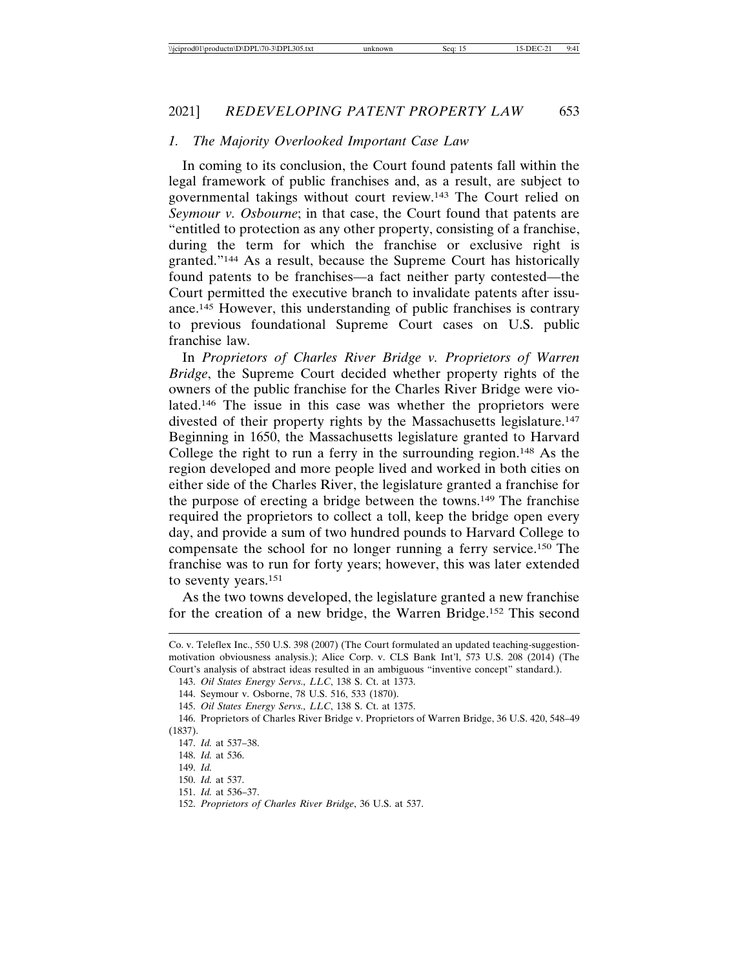## *1. The Majority Overlooked Important Case Law*

In coming to its conclusion, the Court found patents fall within the legal framework of public franchises and, as a result, are subject to governmental takings without court review.143 The Court relied on *Seymour v. Osbourne*; in that case, the Court found that patents are "entitled to protection as any other property, consisting of a franchise, during the term for which the franchise or exclusive right is granted."144 As a result, because the Supreme Court has historically found patents to be franchises—a fact neither party contested—the Court permitted the executive branch to invalidate patents after issuance.145 However, this understanding of public franchises is contrary to previous foundational Supreme Court cases on U.S. public franchise law.

In *Proprietors of Charles River Bridge v. Proprietors of Warren Bridge*, the Supreme Court decided whether property rights of the owners of the public franchise for the Charles River Bridge were violated.146 The issue in this case was whether the proprietors were divested of their property rights by the Massachusetts legislature.147 Beginning in 1650, the Massachusetts legislature granted to Harvard College the right to run a ferry in the surrounding region.148 As the region developed and more people lived and worked in both cities on either side of the Charles River, the legislature granted a franchise for the purpose of erecting a bridge between the towns.149 The franchise required the proprietors to collect a toll, keep the bridge open every day, and provide a sum of two hundred pounds to Harvard College to compensate the school for no longer running a ferry service.150 The franchise was to run for forty years; however, this was later extended to seventy years.151

As the two towns developed, the legislature granted a new franchise for the creation of a new bridge, the Warren Bridge.152 This second

Co. v. Teleflex Inc., 550 U.S. 398 (2007) (The Court formulated an updated teaching-suggestionmotivation obviousness analysis.); Alice Corp. v. CLS Bank Int'l, 573 U.S. 208 (2014) (The Court's analysis of abstract ideas resulted in an ambiguous "inventive concept" standard.).

<sup>143.</sup> *Oil States Energy Servs., LLC*, 138 S. Ct. at 1373.

<sup>144.</sup> Seymour v. Osborne, 78 U.S. 516, 533 (1870).

<sup>145.</sup> *Oil States Energy Servs., LLC*, 138 S. Ct. at 1375.

<sup>146.</sup> Proprietors of Charles River Bridge v. Proprietors of Warren Bridge, 36 U.S. 420, 548–49 (1837).

<sup>147.</sup> *Id.* at 537–38.

<sup>148.</sup> *Id.* at 536.

<sup>149.</sup> *Id.*

<sup>150.</sup> *Id.* at 537.

<sup>151.</sup> *Id.* at 536–37.

<sup>152.</sup> *Proprietors of Charles River Bridge*, 36 U.S. at 537.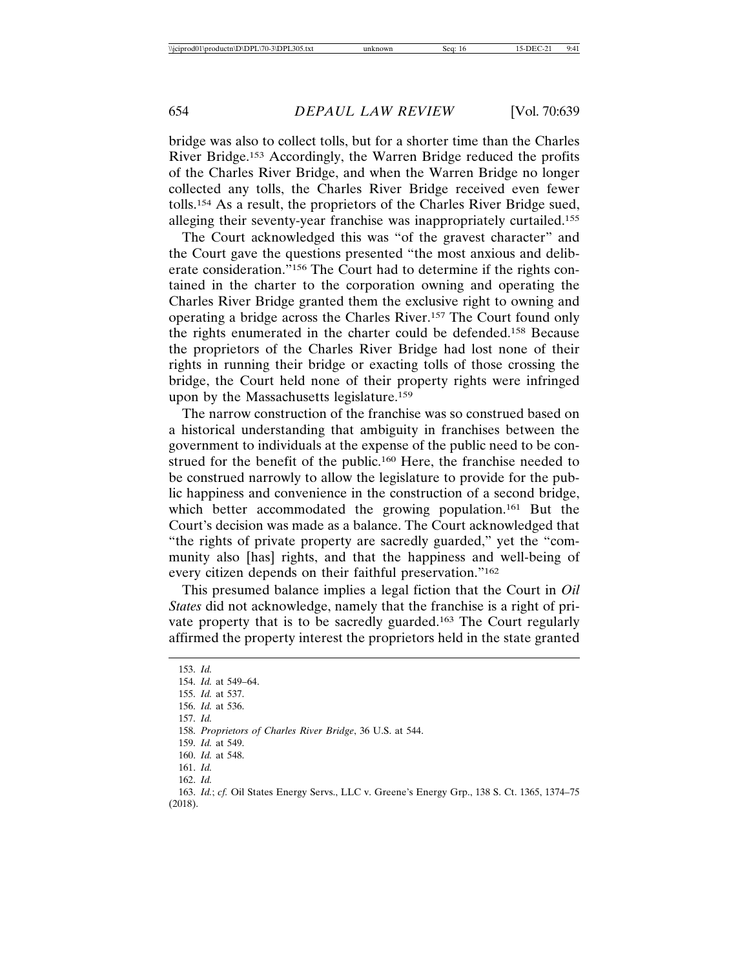bridge was also to collect tolls, but for a shorter time than the Charles River Bridge.153 Accordingly, the Warren Bridge reduced the profits of the Charles River Bridge, and when the Warren Bridge no longer collected any tolls, the Charles River Bridge received even fewer tolls.154 As a result, the proprietors of the Charles River Bridge sued, alleging their seventy-year franchise was inappropriately curtailed.155

The Court acknowledged this was "of the gravest character" and the Court gave the questions presented "the most anxious and deliberate consideration."156 The Court had to determine if the rights contained in the charter to the corporation owning and operating the Charles River Bridge granted them the exclusive right to owning and operating a bridge across the Charles River.157 The Court found only the rights enumerated in the charter could be defended.158 Because the proprietors of the Charles River Bridge had lost none of their rights in running their bridge or exacting tolls of those crossing the bridge, the Court held none of their property rights were infringed upon by the Massachusetts legislature.159

The narrow construction of the franchise was so construed based on a historical understanding that ambiguity in franchises between the government to individuals at the expense of the public need to be construed for the benefit of the public.160 Here, the franchise needed to be construed narrowly to allow the legislature to provide for the public happiness and convenience in the construction of a second bridge, which better accommodated the growing population.<sup>161</sup> But the Court's decision was made as a balance. The Court acknowledged that "the rights of private property are sacredly guarded," yet the "community also [has] rights, and that the happiness and well-being of every citizen depends on their faithful preservation."162

This presumed balance implies a legal fiction that the Court in *Oil States* did not acknowledge, namely that the franchise is a right of private property that is to be sacredly guarded.163 The Court regularly affirmed the property interest the proprietors held in the state granted

153. *Id.* 154. *Id.* at 549–64. 155. *Id.* at 537. 156. *Id.* at 536. 157. *Id.* 158. *Proprietors of Charles River Bridge*, 36 U.S. at 544. 159. *Id.* at 549. 160. *Id.* at 548. 161. *Id.* 162. *Id.*

163. *Id.*; *cf.* Oil States Energy Servs., LLC v. Greene's Energy Grp., 138 S. Ct. 1365, 1374–75 (2018).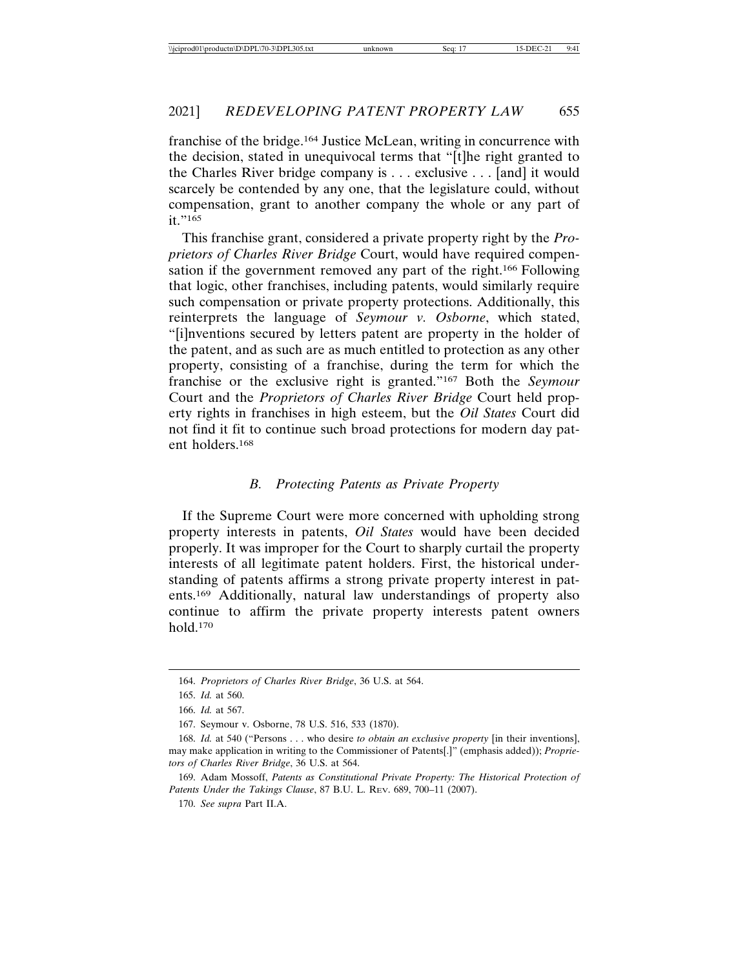franchise of the bridge.164 Justice McLean, writing in concurrence with the decision, stated in unequivocal terms that "[t]he right granted to the Charles River bridge company is . . . exclusive . . . [and] it would scarcely be contended by any one, that the legislature could, without compensation, grant to another company the whole or any part of it."165

This franchise grant, considered a private property right by the *Proprietors of Charles River Bridge* Court, would have required compensation if the government removed any part of the right.166 Following that logic, other franchises, including patents, would similarly require such compensation or private property protections. Additionally, this reinterprets the language of *Seymour v. Osborne*, which stated, "[i]nventions secured by letters patent are property in the holder of the patent, and as such are as much entitled to protection as any other property, consisting of a franchise, during the term for which the franchise or the exclusive right is granted."167 Both the *Seymour* Court and the *Proprietors of Charles River Bridge* Court held property rights in franchises in high esteem, but the *Oil States* Court did not find it fit to continue such broad protections for modern day patent holders.168

## *B. Protecting Patents as Private Property*

If the Supreme Court were more concerned with upholding strong property interests in patents, *Oil States* would have been decided properly. It was improper for the Court to sharply curtail the property interests of all legitimate patent holders. First, the historical understanding of patents affirms a strong private property interest in patents.169 Additionally, natural law understandings of property also continue to affirm the private property interests patent owners hold.170

<sup>164.</sup> *Proprietors of Charles River Bridge*, 36 U.S. at 564.

<sup>165.</sup> *Id.* at 560.

<sup>166.</sup> *Id.* at 567.

<sup>167.</sup> Seymour v. Osborne, 78 U.S. 516, 533 (1870).

<sup>168.</sup> *Id.* at 540 ("Persons . . . who desire *to obtain an exclusive property* [in their inventions], may make application in writing to the Commissioner of Patents[.]" (emphasis added)); *Proprietors of Charles River Bridge*, 36 U.S. at 564.

<sup>169.</sup> Adam Mossoff, *Patents as Constitutional Private Property: The Historical Protection of Patents Under the Takings Clause*, 87 B.U. L. REV. 689, 700–11 (2007).

<sup>170.</sup> *See supra* Part II.A.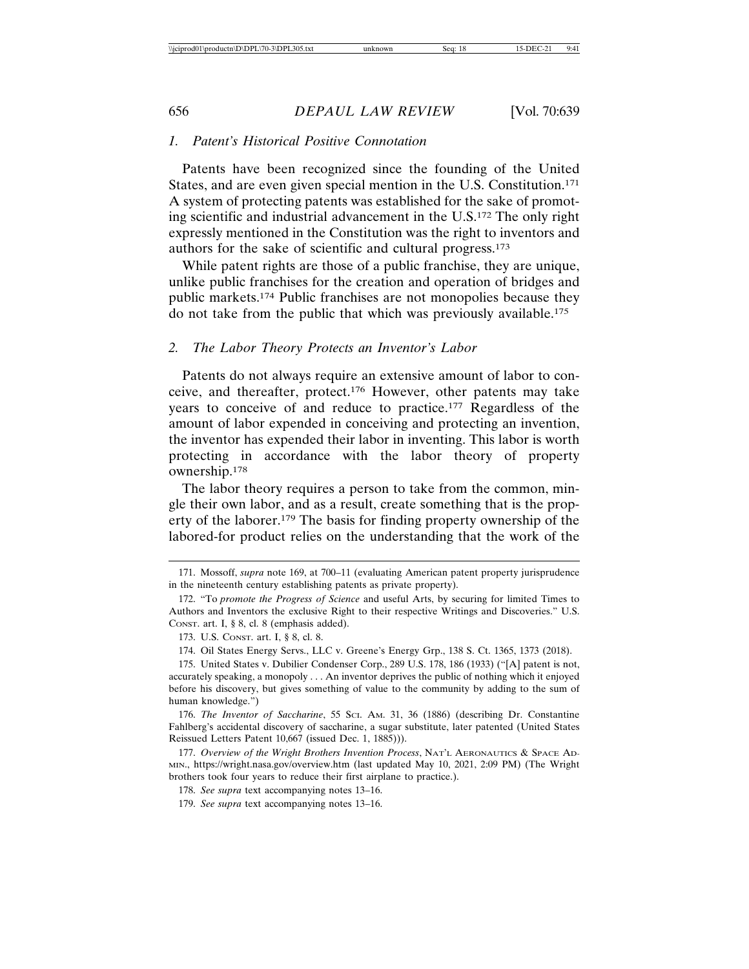### *1. Patent's Historical Positive Connotation*

Patents have been recognized since the founding of the United States, and are even given special mention in the U.S. Constitution.171 A system of protecting patents was established for the sake of promoting scientific and industrial advancement in the U.S.172 The only right expressly mentioned in the Constitution was the right to inventors and authors for the sake of scientific and cultural progress.173

While patent rights are those of a public franchise, they are unique, unlike public franchises for the creation and operation of bridges and public markets.174 Public franchises are not monopolies because they do not take from the public that which was previously available.175

## *2. The Labor Theory Protects an Inventor's Labor*

Patents do not always require an extensive amount of labor to conceive, and thereafter, protect.176 However, other patents may take years to conceive of and reduce to practice.177 Regardless of the amount of labor expended in conceiving and protecting an invention, the inventor has expended their labor in inventing. This labor is worth protecting in accordance with the labor theory of property ownership.178

The labor theory requires a person to take from the common, mingle their own labor, and as a result, create something that is the property of the laborer.179 The basis for finding property ownership of the labored-for product relies on the understanding that the work of the

<sup>171.</sup> Mossoff, *supra* note 169, at 700–11 (evaluating American patent property jurisprudence in the nineteenth century establishing patents as private property).

<sup>172. &</sup>quot;To *promote the Progress of Science* and useful Arts, by securing for limited Times to Authors and Inventors the exclusive Right to their respective Writings and Discoveries." U.S. CONST. art. I, § 8, cl. 8 (emphasis added).

<sup>173.</sup> U.S. CONST. art. I, § 8, cl. 8.

<sup>174.</sup> Oil States Energy Servs., LLC v. Greene's Energy Grp., 138 S. Ct. 1365, 1373 (2018).

<sup>175.</sup> United States v. Dubilier Condenser Corp., 289 U.S. 178, 186 (1933) ("[A] patent is not, accurately speaking, a monopoly . . . An inventor deprives the public of nothing which it enjoyed before his discovery, but gives something of value to the community by adding to the sum of human knowledge.")

<sup>176.</sup> *The Inventor of Saccharine*, 55 SCI. AM. 31, 36 (1886) (describing Dr. Constantine Fahlberg's accidental discovery of saccharine, a sugar substitute, later patented (United States Reissued Letters Patent 10,667 (issued Dec. 1, 1885))).

<sup>177.</sup> *Overview of the Wright Brothers Invention Process*, NAT'L AERONAUTICS & SPACE AD-MIN., https://wright.nasa.gov/overview.htm (last updated May 10, 2021, 2:09 PM) (The Wright brothers took four years to reduce their first airplane to practice.).

<sup>178.</sup> *See supra* text accompanying notes 13–16.

<sup>179.</sup> *See supra* text accompanying notes 13–16.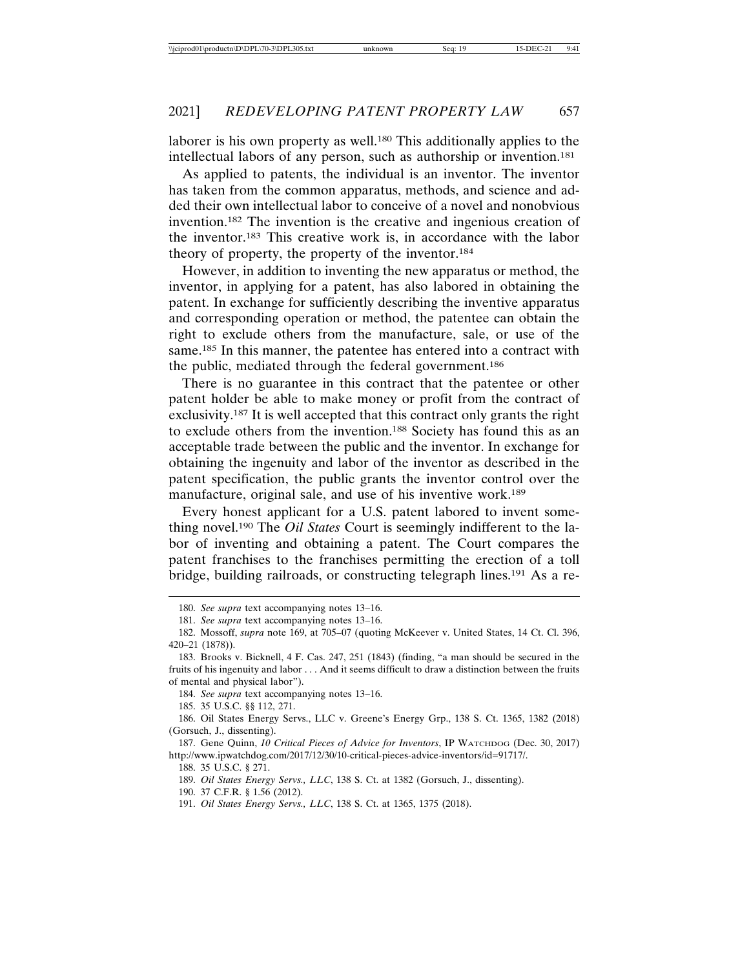laborer is his own property as well.<sup>180</sup> This additionally applies to the intellectual labors of any person, such as authorship or invention.181

As applied to patents, the individual is an inventor. The inventor has taken from the common apparatus, methods, and science and added their own intellectual labor to conceive of a novel and nonobvious invention.182 The invention is the creative and ingenious creation of the inventor.183 This creative work is, in accordance with the labor theory of property, the property of the inventor.184

However, in addition to inventing the new apparatus or method, the inventor, in applying for a patent, has also labored in obtaining the patent. In exchange for sufficiently describing the inventive apparatus and corresponding operation or method, the patentee can obtain the right to exclude others from the manufacture, sale, or use of the same.<sup>185</sup> In this manner, the patentee has entered into a contract with the public, mediated through the federal government.186

There is no guarantee in this contract that the patentee or other patent holder be able to make money or profit from the contract of exclusivity.187 It is well accepted that this contract only grants the right to exclude others from the invention.188 Society has found this as an acceptable trade between the public and the inventor. In exchange for obtaining the ingenuity and labor of the inventor as described in the patent specification, the public grants the inventor control over the manufacture, original sale, and use of his inventive work.189

Every honest applicant for a U.S. patent labored to invent something novel.190 The *Oil States* Court is seemingly indifferent to the labor of inventing and obtaining a patent. The Court compares the patent franchises to the franchises permitting the erection of a toll bridge, building railroads, or constructing telegraph lines.191 As a re-

184. *See supra* text accompanying notes 13–16.

185. 35 U.S.C. §§ 112, 271.

186. Oil States Energy Servs., LLC v. Greene's Energy Grp., 138 S. Ct. 1365, 1382 (2018) (Gorsuch, J., dissenting).

187. Gene Quinn, *10 Critical Pieces of Advice for Inventors*, IP WATCHDOG (Dec. 30, 2017) http://www.ipwatchdog.com/2017/12/30/10-critical-pieces-advice-inventors/id=91717/.

188. 35 U.S.C. § 271.

189. *Oil States Energy Servs., LLC*, 138 S. Ct. at 1382 (Gorsuch, J., dissenting).

190. 37 C.F.R. § 1.56 (2012).

<sup>180.</sup> *See supra* text accompanying notes 13–16.

<sup>181.</sup> *See supra* text accompanying notes 13–16.

<sup>182.</sup> Mossoff, *supra* note 169, at 705–07 (quoting McKeever v. United States, 14 Ct. Cl. 396, 420–21 (1878)).

<sup>183.</sup> Brooks v. Bicknell, 4 F. Cas. 247, 251 (1843) (finding, "a man should be secured in the fruits of his ingenuity and labor . . . And it seems difficult to draw a distinction between the fruits of mental and physical labor").

<sup>191.</sup> *Oil States Energy Servs., LLC*, 138 S. Ct. at 1365, 1375 (2018).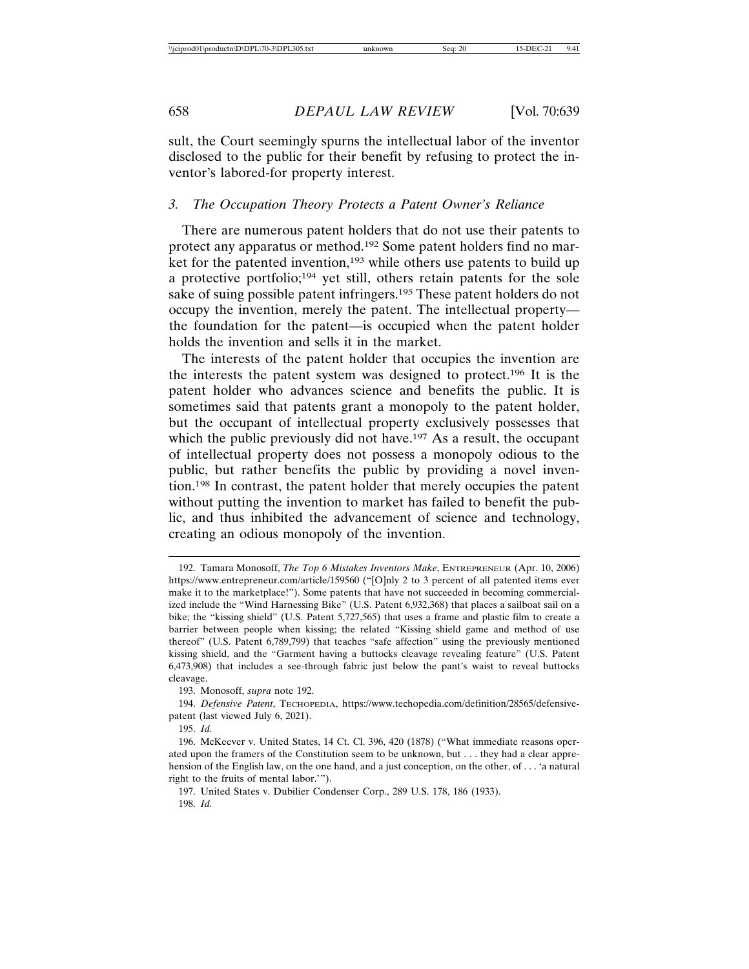sult, the Court seemingly spurns the intellectual labor of the inventor disclosed to the public for their benefit by refusing to protect the inventor's labored-for property interest.

#### *3. The Occupation Theory Protects a Patent Owner's Reliance*

There are numerous patent holders that do not use their patents to protect any apparatus or method.192 Some patent holders find no market for the patented invention,<sup>193</sup> while others use patents to build up a protective portfolio;194 yet still, others retain patents for the sole sake of suing possible patent infringers.195 These patent holders do not occupy the invention, merely the patent. The intellectual property the foundation for the patent—is occupied when the patent holder holds the invention and sells it in the market.

The interests of the patent holder that occupies the invention are the interests the patent system was designed to protect.196 It is the patent holder who advances science and benefits the public. It is sometimes said that patents grant a monopoly to the patent holder, but the occupant of intellectual property exclusively possesses that which the public previously did not have.<sup>197</sup> As a result, the occupant of intellectual property does not possess a monopoly odious to the public, but rather benefits the public by providing a novel invention.198 In contrast, the patent holder that merely occupies the patent without putting the invention to market has failed to benefit the public, and thus inhibited the advancement of science and technology, creating an odious monopoly of the invention.

<sup>192.</sup> Tamara Monosoff, *The Top 6 Mistakes Inventors Make*, ENTREPRENEUR (Apr. 10, 2006) https://www.entrepreneur.com/article/159560 ("[O]nly 2 to 3 percent of all patented items ever make it to the marketplace!"). Some patents that have not succeeded in becoming commercialized include the "Wind Harnessing Bike" (U.S. Patent 6,932,368) that places a sailboat sail on a bike; the "kissing shield" (U.S. Patent 5,727,565) that uses a frame and plastic film to create a barrier between people when kissing; the related "Kissing shield game and method of use thereof" (U.S. Patent 6,789,799) that teaches "safe affection" using the previously mentioned kissing shield, and the "Garment having a buttocks cleavage revealing feature" (U.S. Patent 6,473,908) that includes a see-through fabric just below the pant's waist to reveal buttocks cleavage.

<sup>193.</sup> Monosoff, *supra* note 192.

<sup>194.</sup> *Defensive Patent*, TECHOPEDIA, https://www.techopedia.com/definition/28565/defensivepatent (last viewed July 6, 2021).

<sup>195.</sup> *Id.*

<sup>196.</sup> McKeever v. United States, 14 Ct. Cl. 396, 420 (1878) ("What immediate reasons operated upon the framers of the Constitution seem to be unknown, but . . . they had a clear apprehension of the English law, on the one hand, and a just conception, on the other, of . . . 'a natural right to the fruits of mental labor.'").

<sup>197.</sup> United States v. Dubilier Condenser Corp., 289 U.S. 178, 186 (1933). 198. *Id.*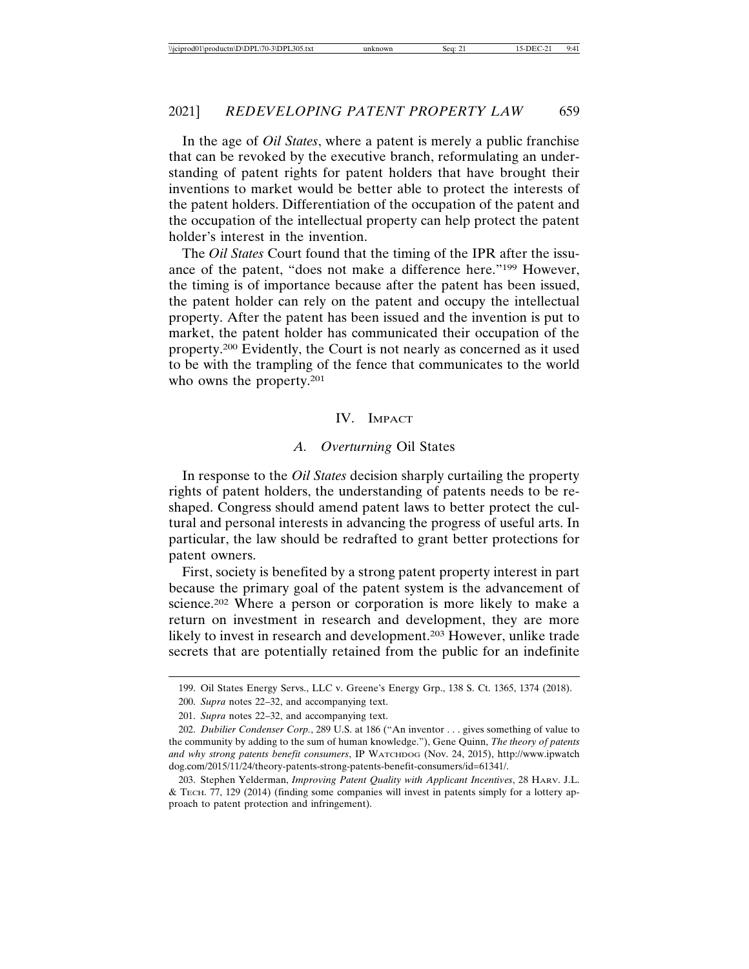In the age of *Oil States*, where a patent is merely a public franchise that can be revoked by the executive branch, reformulating an understanding of patent rights for patent holders that have brought their inventions to market would be better able to protect the interests of the patent holders. Differentiation of the occupation of the patent and the occupation of the intellectual property can help protect the patent holder's interest in the invention.

The *Oil States* Court found that the timing of the IPR after the issuance of the patent, "does not make a difference here."199 However, the timing is of importance because after the patent has been issued, the patent holder can rely on the patent and occupy the intellectual property. After the patent has been issued and the invention is put to market, the patent holder has communicated their occupation of the property.200 Evidently, the Court is not nearly as concerned as it used to be with the trampling of the fence that communicates to the world who owns the property.<sup>201</sup>

#### IV. IMPACT

### *A. Overturning* Oil States

In response to the *Oil States* decision sharply curtailing the property rights of patent holders, the understanding of patents needs to be reshaped. Congress should amend patent laws to better protect the cultural and personal interests in advancing the progress of useful arts. In particular, the law should be redrafted to grant better protections for patent owners.

First, society is benefited by a strong patent property interest in part because the primary goal of the patent system is the advancement of science.202 Where a person or corporation is more likely to make a return on investment in research and development, they are more likely to invest in research and development.203 However, unlike trade secrets that are potentially retained from the public for an indefinite

<sup>199.</sup> Oil States Energy Servs., LLC v. Greene's Energy Grp., 138 S. Ct. 1365, 1374 (2018).

<sup>200.</sup> *Supra* notes 22–32, and accompanying text.

<sup>201.</sup> *Supra* notes 22–32, and accompanying text.

<sup>202.</sup> *Dubilier Condenser Corp.*, 289 U.S. at 186 ("An inventor . . . gives something of value to the community by adding to the sum of human knowledge."), Gene Quinn, *The theory of patents and why strong patents benefit consumers*, IP WATCHDOG (Nov. 24, 2015), http://www.ipwatch dog.com/2015/11/24/theory-patents-strong-patents-benefit-consumers/id=61341/.

<sup>203.</sup> Stephen Yelderman, *Improving Patent Quality with Applicant Incentives*, 28 HARV. J.L. & TECH. 77, 129 (2014) (finding some companies will invest in patents simply for a lottery approach to patent protection and infringement).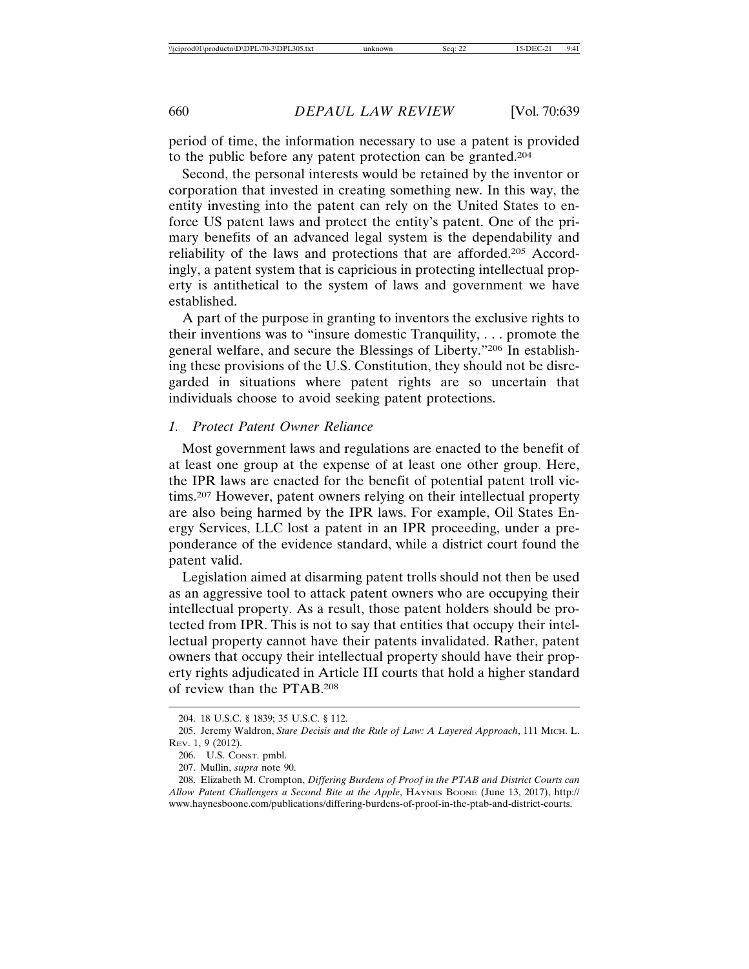period of time, the information necessary to use a patent is provided to the public before any patent protection can be granted.204

Second, the personal interests would be retained by the inventor or corporation that invested in creating something new. In this way, the entity investing into the patent can rely on the United States to enforce US patent laws and protect the entity's patent. One of the primary benefits of an advanced legal system is the dependability and reliability of the laws and protections that are afforded.205 Accordingly, a patent system that is capricious in protecting intellectual property is antithetical to the system of laws and government we have established.

A part of the purpose in granting to inventors the exclusive rights to their inventions was to "insure domestic Tranquility, . . . promote the general welfare, and secure the Blessings of Liberty."206 In establishing these provisions of the U.S. Constitution, they should not be disregarded in situations where patent rights are so uncertain that individuals choose to avoid seeking patent protections.

#### *1. Protect Patent Owner Reliance*

Most government laws and regulations are enacted to the benefit of at least one group at the expense of at least one other group. Here, the IPR laws are enacted for the benefit of potential patent troll victims.207 However, patent owners relying on their intellectual property are also being harmed by the IPR laws. For example, Oil States Energy Services, LLC lost a patent in an IPR proceeding, under a preponderance of the evidence standard, while a district court found the patent valid.

Legislation aimed at disarming patent trolls should not then be used as an aggressive tool to attack patent owners who are occupying their intellectual property. As a result, those patent holders should be protected from IPR. This is not to say that entities that occupy their intellectual property cannot have their patents invalidated. Rather, patent owners that occupy their intellectual property should have their property rights adjudicated in Article III courts that hold a higher standard of review than the PTAB.208

<sup>204. 18</sup> U.S.C. § 1839; 35 U.S.C. § 112.

<sup>205.</sup> Jeremy Waldron, *Stare Decisis and the Rule of Law: A Layered Approach*, 111 MICH. L. REV. 1, 9 (2012).

<sup>206.</sup> U.S. CONST. pmbl.

<sup>207.</sup> Mullin, *supra* note 90.

<sup>208.</sup> Elizabeth M. Crompton, *Differing Burdens of Proof in the PTAB and District Courts can Allow Patent Challengers a Second Bite at the Apple*, HAYNES BOONE (June 13, 2017), http:// www.haynesboone.com/publications/differing-burdens-of-proof-in-the-ptab-and-district-courts.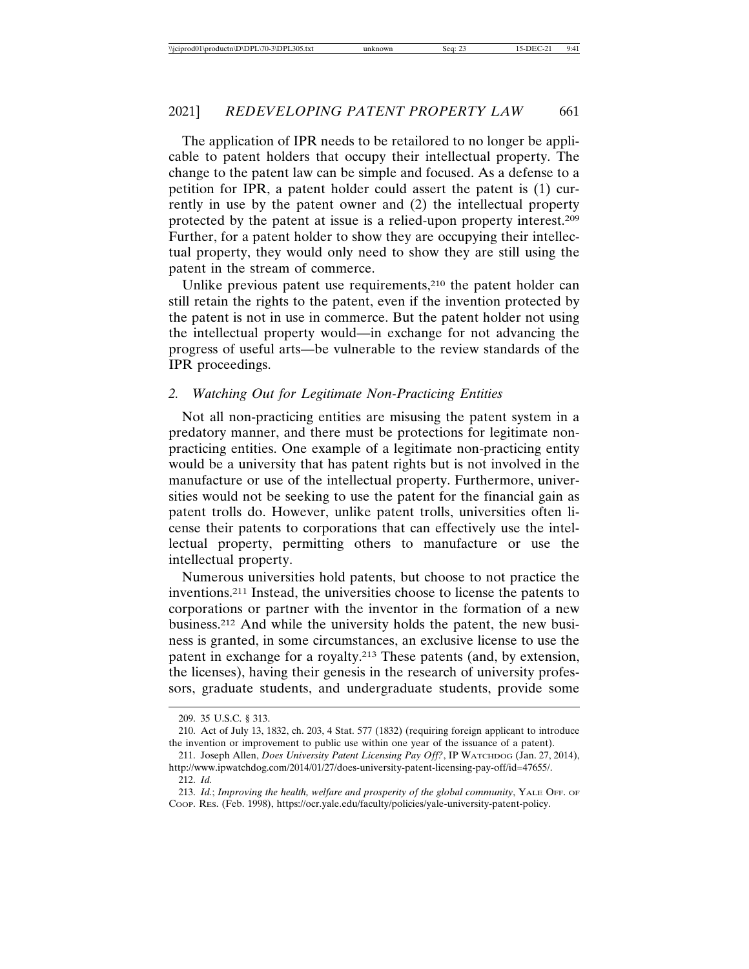The application of IPR needs to be retailored to no longer be applicable to patent holders that occupy their intellectual property. The change to the patent law can be simple and focused. As a defense to a petition for IPR, a patent holder could assert the patent is (1) currently in use by the patent owner and (2) the intellectual property protected by the patent at issue is a relied-upon property interest.209 Further, for a patent holder to show they are occupying their intellectual property, they would only need to show they are still using the patent in the stream of commerce.

Unlike previous patent use requirements,<sup>210</sup> the patent holder can still retain the rights to the patent, even if the invention protected by the patent is not in use in commerce. But the patent holder not using the intellectual property would—in exchange for not advancing the progress of useful arts—be vulnerable to the review standards of the IPR proceedings.

### *2. Watching Out for Legitimate Non-Practicing Entities*

Not all non-practicing entities are misusing the patent system in a predatory manner, and there must be protections for legitimate nonpracticing entities. One example of a legitimate non-practicing entity would be a university that has patent rights but is not involved in the manufacture or use of the intellectual property. Furthermore, universities would not be seeking to use the patent for the financial gain as patent trolls do. However, unlike patent trolls, universities often license their patents to corporations that can effectively use the intellectual property, permitting others to manufacture or use the intellectual property.

Numerous universities hold patents, but choose to not practice the inventions.211 Instead, the universities choose to license the patents to corporations or partner with the inventor in the formation of a new business.212 And while the university holds the patent, the new business is granted, in some circumstances, an exclusive license to use the patent in exchange for a royalty.213 These patents (and, by extension, the licenses), having their genesis in the research of university professors, graduate students, and undergraduate students, provide some

<sup>209. 35</sup> U.S.C. § 313.

<sup>210.</sup> Act of July 13, 1832, ch. 203, 4 Stat. 577 (1832) (requiring foreign applicant to introduce the invention or improvement to public use within one year of the issuance of a patent).

<sup>211.</sup> Joseph Allen, *Does University Patent Licensing Pay Off?*, IP WATCHDOG (Jan. 27, 2014), http://www.ipwatchdog.com/2014/01/27/does-university-patent-licensing-pay-off/id=47655/.

<sup>212.</sup> *Id.*

<sup>213.</sup> *Id.*; *Improving the health, welfare and prosperity of the global community*, YALE OFF. OF COOP. RES. (Feb. 1998), https://ocr.yale.edu/faculty/policies/yale-university-patent-policy.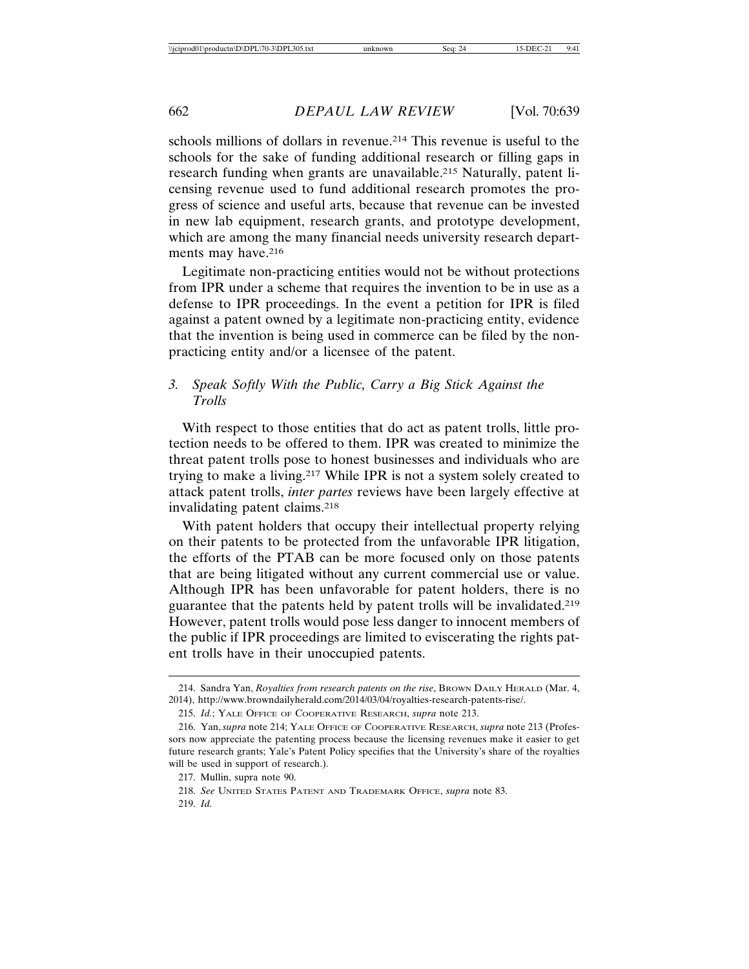schools millions of dollars in revenue.214 This revenue is useful to the schools for the sake of funding additional research or filling gaps in research funding when grants are unavailable.<sup>215</sup> Naturally, patent licensing revenue used to fund additional research promotes the progress of science and useful arts, because that revenue can be invested in new lab equipment, research grants, and prototype development, which are among the many financial needs university research departments may have.<sup>216</sup>

Legitimate non-practicing entities would not be without protections from IPR under a scheme that requires the invention to be in use as a defense to IPR proceedings. In the event a petition for IPR is filed against a patent owned by a legitimate non-practicing entity, evidence that the invention is being used in commerce can be filed by the nonpracticing entity and/or a licensee of the patent.

## *3. Speak Softly With the Public, Carry a Big Stick Against the Trolls*

With respect to those entities that do act as patent trolls, little protection needs to be offered to them. IPR was created to minimize the threat patent trolls pose to honest businesses and individuals who are trying to make a living.217 While IPR is not a system solely created to attack patent trolls, *inter partes* reviews have been largely effective at invalidating patent claims.218

With patent holders that occupy their intellectual property relying on their patents to be protected from the unfavorable IPR litigation, the efforts of the PTAB can be more focused only on those patents that are being litigated without any current commercial use or value. Although IPR has been unfavorable for patent holders, there is no guarantee that the patents held by patent trolls will be invalidated.219 However, patent trolls would pose less danger to innocent members of the public if IPR proceedings are limited to eviscerating the rights patent trolls have in their unoccupied patents.

<sup>214.</sup> Sandra Yan, *Royalties from research patents on the rise*, BROWN DAILY HERALD (Mar. 4, 2014), http://www.browndailyherald.com/2014/03/04/royalties-research-patents-rise/.

<sup>215.</sup> *Id.*; YALE OFFICE OF COOPERATIVE RESEARCH, *supra* note 213.

<sup>216.</sup> Yan, *supra* note 214; YALE OFFICE OF COOPERATIVE RESEARCH, *supra* note 213 (Professors now appreciate the patenting process because the licensing revenues make it easier to get future research grants; Yale's Patent Policy specifies that the University's share of the royalties will be used in support of research.).

<sup>217.</sup> Mullin, supra note 90.

<sup>218.</sup> *See* UNITED STATES PATENT AND TRADEMARK OFFICE, *supra* note 83.

<sup>219.</sup> *Id.*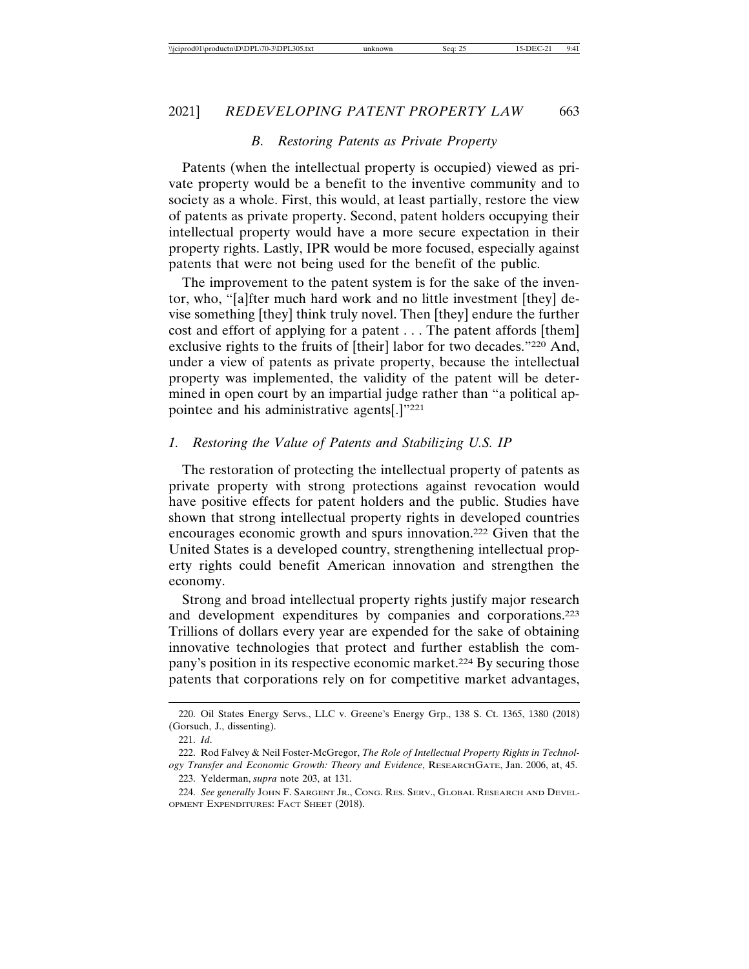### *B. Restoring Patents as Private Property*

Patents (when the intellectual property is occupied) viewed as private property would be a benefit to the inventive community and to society as a whole. First, this would, at least partially, restore the view of patents as private property. Second, patent holders occupying their intellectual property would have a more secure expectation in their property rights. Lastly, IPR would be more focused, especially against patents that were not being used for the benefit of the public.

The improvement to the patent system is for the sake of the inventor, who, "[a]fter much hard work and no little investment [they] devise something [they] think truly novel. Then [they] endure the further cost and effort of applying for a patent . . . The patent affords [them] exclusive rights to the fruits of [their] labor for two decades."220 And, under a view of patents as private property, because the intellectual property was implemented, the validity of the patent will be determined in open court by an impartial judge rather than "a political appointee and his administrative agents[.]"221

### *1. Restoring the Value of Patents and Stabilizing U.S. IP*

The restoration of protecting the intellectual property of patents as private property with strong protections against revocation would have positive effects for patent holders and the public. Studies have shown that strong intellectual property rights in developed countries encourages economic growth and spurs innovation.222 Given that the United States is a developed country, strengthening intellectual property rights could benefit American innovation and strengthen the economy.

Strong and broad intellectual property rights justify major research and development expenditures by companies and corporations.223 Trillions of dollars every year are expended for the sake of obtaining innovative technologies that protect and further establish the company's position in its respective economic market.224 By securing those patents that corporations rely on for competitive market advantages,

<sup>220.</sup> Oil States Energy Servs., LLC v. Greene's Energy Grp., 138 S. Ct. 1365, 1380 (2018) (Gorsuch, J., dissenting).

<sup>221.</sup> *Id*.

<sup>222.</sup> Rod Falvey & Neil Foster-McGregor, *The Role of Intellectual Property Rights in Technology Transfer and Economic Growth: Theory and Evidence*, RESEARCHGATE, Jan. 2006, at, 45.

<sup>223.</sup> Yelderman, *supra* note 203, at 131.

<sup>224.</sup> *See generally* JOHN F. SARGENT JR., CONG. RES. SERV., GLOBAL RESEARCH AND DEVEL-OPMENT EXPENDITURES: FACT SHEET (2018).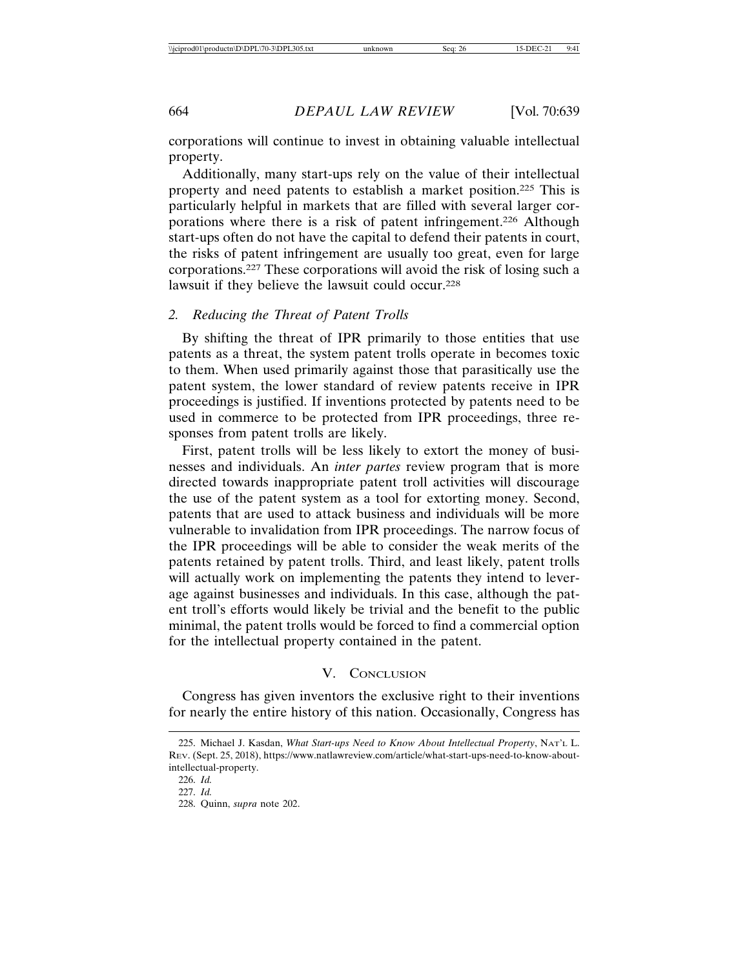corporations will continue to invest in obtaining valuable intellectual property.

Additionally, many start-ups rely on the value of their intellectual property and need patents to establish a market position.225 This is particularly helpful in markets that are filled with several larger corporations where there is a risk of patent infringement.226 Although start-ups often do not have the capital to defend their patents in court, the risks of patent infringement are usually too great, even for large corporations.227 These corporations will avoid the risk of losing such a lawsuit if they believe the lawsuit could occur.228

#### *2. Reducing the Threat of Patent Trolls*

By shifting the threat of IPR primarily to those entities that use patents as a threat, the system patent trolls operate in becomes toxic to them. When used primarily against those that parasitically use the patent system, the lower standard of review patents receive in IPR proceedings is justified. If inventions protected by patents need to be used in commerce to be protected from IPR proceedings, three responses from patent trolls are likely.

First, patent trolls will be less likely to extort the money of businesses and individuals. An *inter partes* review program that is more directed towards inappropriate patent troll activities will discourage the use of the patent system as a tool for extorting money. Second, patents that are used to attack business and individuals will be more vulnerable to invalidation from IPR proceedings. The narrow focus of the IPR proceedings will be able to consider the weak merits of the patents retained by patent trolls. Third, and least likely, patent trolls will actually work on implementing the patents they intend to leverage against businesses and individuals. In this case, although the patent troll's efforts would likely be trivial and the benefit to the public minimal, the patent trolls would be forced to find a commercial option for the intellectual property contained in the patent.

### V. CONCLUSION

Congress has given inventors the exclusive right to their inventions for nearly the entire history of this nation. Occasionally, Congress has

<sup>225.</sup> Michael J. Kasdan, *What Start-ups Need to Know About Intellectual Property*, NAT'L L. REV. (Sept. 25, 2018), https://www.natlawreview.com/article/what-start-ups-need-to-know-aboutintellectual-property.

<sup>226.</sup> *Id.*

<sup>227.</sup> *Id.*

<sup>228.</sup> Quinn, *supra* note 202.